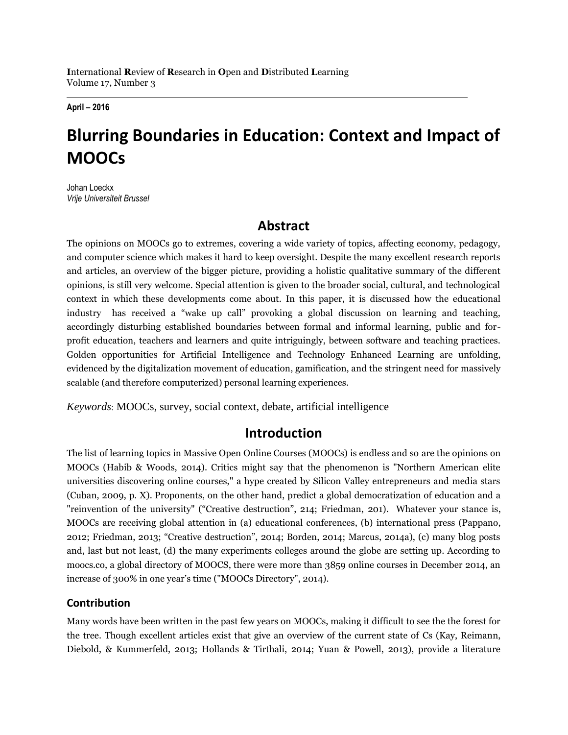**April – 2016**

# **Blurring Boundaries in Education: Context and Impact of MOOCs**

Johan Loeckx *Vrije Universiteit Brussel*

## **Abstract**

The opinions on MOOCs go to extremes, covering a wide variety of topics, affecting economy, pedagogy, and computer science which makes it hard to keep oversight. Despite the many excellent research reports and articles, an overview of the bigger picture, providing a holistic qualitative summary of the different opinions, is still very welcome. Special attention is given to the broader social, cultural, and technological context in which these developments come about. In this paper, it is discussed how the educational industry has received a "wake up call" provoking a global discussion on learning and teaching, accordingly disturbing established boundaries between formal and informal learning, public and forprofit education, teachers and learners and quite intriguingly, between software and teaching practices. Golden opportunities for Artificial Intelligence and Technology Enhanced Learning are unfolding, evidenced by the digitalization movement of education, gamification, and the stringent need for massively scalable (and therefore computerized) personal learning experiences.

*Keywords*: MOOCs, survey, social context, debate, artificial intelligence

### **Introduction**

The list of learning topics in Massive Open Online Courses (MOOCs) is endless and so are the opinions on MOOCs (Habib & Woods, 2014). Critics might say that the phenomenon is "Northern American elite universities discovering online courses," a hype created by Silicon Valley entrepreneurs and media stars (Cuban, 2009, p. X). Proponents, on the other hand, predict a global democratization of education and a "reinvention of the university" ("Creative destruction", 214; Friedman, 201). Whatever your stance is, MOOCs are receiving global attention in (a) educational conferences, (b) international press (Pappano, 2012; Friedman, 2013; "Creative destruction", 2014; Borden, 2014; Marcus, 2014a), (c) many blog posts and, last but not least, (d) the many experiments colleges around the globe are setting up. According to moocs.co, a global directory of MOOCS, there were more than 3859 online courses in December 2014, an increase of 300% in one year's time ("MOOCs Directory", 2014).

#### **Contribution**

Many words have been written in the past few years on MOOCs, making it difficult to see the the forest for the tree. Though excellent articles exist that give an overview of the current state of Cs (Kay, Reimann, Diebold, & Kummerfeld, 2013; Hollands & Tirthali, 2014; Yuan & Powell, 2013), provide a literature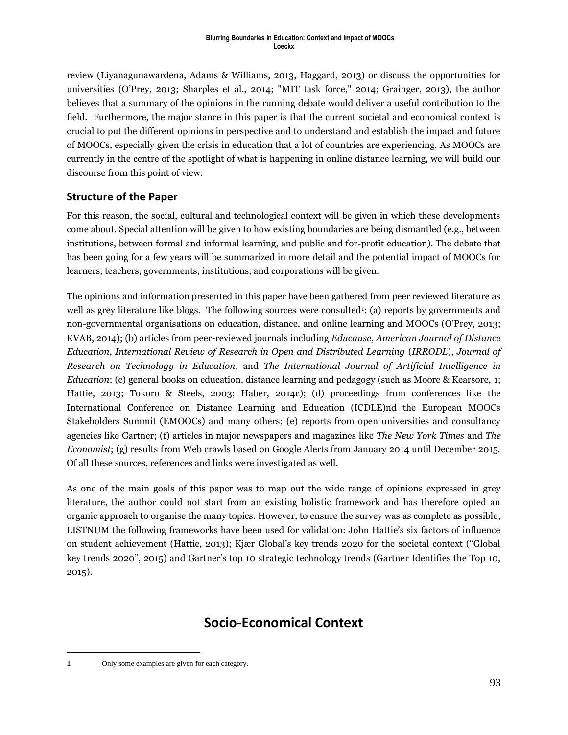review (Liyanagunawardena, Adams & Williams, 2013, Haggard, 2013) or discuss the opportunities for universities (O'Prey, 2013; Sharples et al., 2014; "MIT task force," 2014; Grainger, 2013), the author believes that a summary of the opinions in the running debate would deliver a useful contribution to the field. Furthermore, the major stance in this paper is that the current societal and economical context is crucial to put the different opinions in perspective and to understand and establish the impact and future of MOOCs, especially given the crisis in education that a lot of countries are experiencing. As MOOCs are currently in the centre of the spotlight of what is happening in online distance learning, we will build our discourse from this point of view.

#### **Structure of the Paper**

For this reason, the social, cultural and technological context will be given in which these developments come about. Special attention will be given to how existing boundaries are being dismantled (e.g., between institutions, between formal and informal learning, and public and for-profit education). The debate that has been going for a few years will be summarized in more detail and the potential impact of MOOCs for learners, teachers, governments, institutions, and corporations will be given.

The opinions and information presented in this paper have been gathered from peer reviewed literature as well as grey literature like blogs. The following sources were consulted<sup>1</sup>: (a) reports by governments and non-governmental organisations on education, distance, and online learning and MOOCs (O'Prey, 2013; KVAB, 2014); (b) articles from peer-reviewed journals including *Educause*, *American Journal of Distance Education*, *International Review of Research in Open and Distributed Learning* (*IRRODL*), *Journal of Research on Technology in Education*, and *The International Journal of Artificial Intelligence in Education*; (c) general books on education, distance learning and pedagogy (such as Moore & Kearsore, 1; Hattie, 2013; Tokoro & Steels, 2003; Haber, 2014c); (d) proceedings from conferences like the International Conference on Distance Learning and Education (ICDLE)nd the European MOOCs Stakeholders Summit (EMOOCs) and many others; (e) reports from open universities and consultancy agencies like Gartner; (f) articles in major newspapers and magazines like *The New York Times* and *The Economist*; (g) results from Web crawls based on Google Alerts from January 2014 until December 2015. Of all these sources, references and links were investigated as well.

As one of the main goals of this paper was to map out the wide range of opinions expressed in grey literature, the author could not start from an existing holistic framework and has therefore opted an organic approach to organise the many topics. However, to ensure the survey was as complete as possible, LISTNUM the following frameworks have been used for validation: John Hattie's six factors of influence on student achievement (Hattie, 2013); Kjær Global's key trends 2020 for the societal context ("Global key trends 2020", 2015) and Gartner's top 10 strategic technology trends (Gartner Identifies the Top 10, 2015).

## **Socio-Economical Context**

 $\overline{a}$ 

<sup>1</sup> Only some examples are given for each category.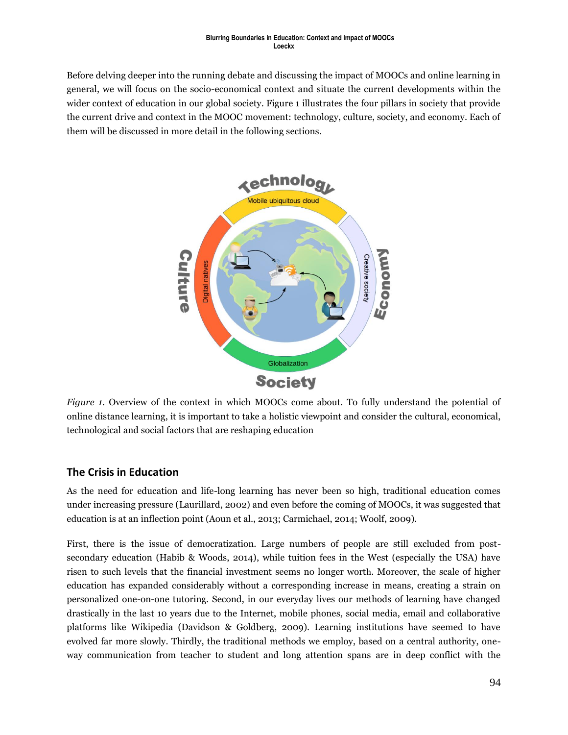#### **Blurring Boundaries in Education: Context and Impact of MOOCs Loeckx**

Before delving deeper into the running debate and discussing the impact of MOOCs and online learning in general, we will focus on the socio-economical context and situate the current developments within the wider context of education in our global society. Figure 1 illustrates the four pillars in society that provide the current drive and context in the MOOC movement: technology, culture, society, and economy. Each of them will be discussed in more detail in the following sections.



*Figure 1*. Overview of the context in which MOOCs come about. To fully understand the potential of online distance learning, it is important to take a holistic viewpoint and consider the cultural, economical, technological and social factors that are reshaping education

#### **The Crisis in Education**

As the need for education and life-long learning has never been so high, traditional education comes under increasing pressure (Laurillard, 2002) and even before the coming of MOOCs, it was suggested that education is at an inflection point (Aoun et al., 2013; Carmichael, 2014; Woolf, 2009).

First, there is the issue of democratization. Large numbers of people are still excluded from postsecondary education (Habib & Woods, 2014), while tuition fees in the West (especially the USA) have risen to such levels that the financial investment seems no longer worth. Moreover, the scale of higher education has expanded considerably without a corresponding increase in means, creating a strain on personalized one-on-one tutoring. Second, in our everyday lives our methods of learning have changed drastically in the last 10 years due to the Internet, mobile phones, social media, email and collaborative platforms like Wikipedia (Davidson & Goldberg, 2009). Learning institutions have seemed to have evolved far more slowly. Thirdly, the traditional methods we employ, based on a central authority, oneway communication from teacher to student and long attention spans are in deep conflict with the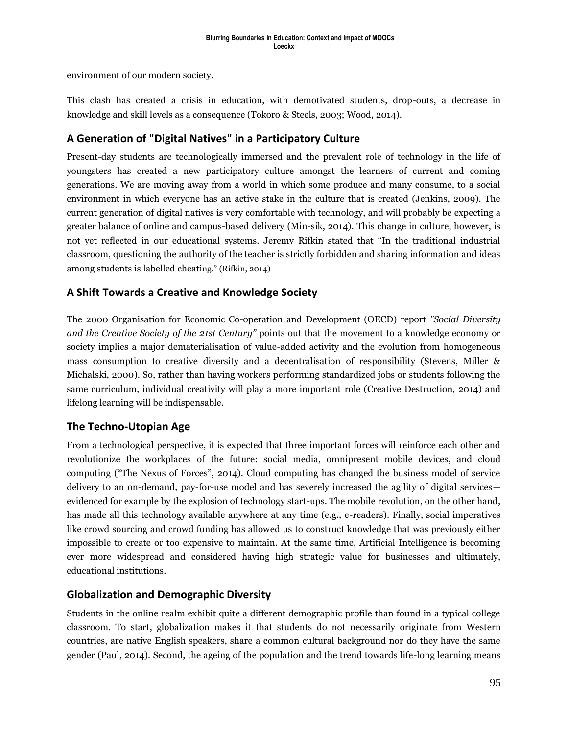environment of our modern society.

This clash has created a crisis in education, with demotivated students, drop-outs, a decrease in knowledge and skill levels as a consequence (Tokoro & Steels, 2003; Wood, 2014).

#### **A Generation of "Digital Natives" in a Participatory Culture**

Present-day students are technologically immersed and the prevalent role of technology in the life of youngsters has created a new participatory culture amongst the learners of current and coming generations. We are moving away from a world in which some produce and many consume, to a social environment in which everyone has an active stake in the culture that is created (Jenkins, 2009). The current generation of digital natives is very comfortable with technology, and will probably be expecting a greater balance of online and campus-based delivery (Min-sik, 2014). This change in culture, however, is not yet reflected in our educational systems. Jeremy Rifkin stated that "In the traditional industrial classroom, questioning the authority of the teacher is strictly forbidden and sharing information and ideas among students is labelled cheating." (Rifkin, 2014)

#### **A Shift Towards a Creative and Knowledge Society**

The 2000 Organisation for Economic Co-operation and Development (OECD) report *"Social Diversity and the Creative Society of the 21st Century"* points out that the movement to a knowledge economy or society implies a major dematerialisation of value-added activity and the evolution from homogeneous mass consumption to creative diversity and a decentralisation of responsibility (Stevens, Miller & Michalski, 2000). So, rather than having workers performing standardized jobs or students following the same curriculum, individual creativity will play a more important role (Creative Destruction, 2014) and lifelong learning will be indispensable.

#### **The Techno-Utopian Age**

From a technological perspective, it is expected that three important forces will reinforce each other and revolutionize the workplaces of the future: social media, omnipresent mobile devices, and cloud computing ("The Nexus of Forces", 2014). Cloud computing has changed the business model of service delivery to an on-demand, pay-for-use model and has severely increased the agility of digital services evidenced for example by the explosion of technology start-ups. The mobile revolution, on the other hand, has made all this technology available anywhere at any time (e.g., e-readers). Finally, social imperatives like crowd sourcing and crowd funding has allowed us to construct knowledge that was previously either impossible to create or too expensive to maintain. At the same time, Artificial Intelligence is becoming ever more widespread and considered having high strategic value for businesses and ultimately, educational institutions.

#### **Globalization and Demographic Diversity**

Students in the online realm exhibit quite a different demographic profile than found in a typical college classroom. To start, globalization makes it that students do not necessarily originate from Western countries, are native English speakers, share a common cultural background nor do they have the same gender (Paul, 2014). Second, the ageing of the population and the trend towards life-long learning means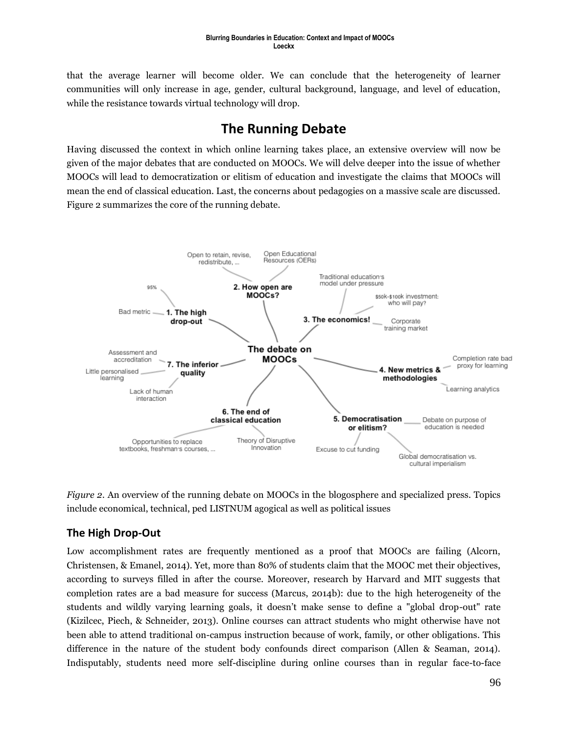that the average learner will become older. We can conclude that the heterogeneity of learner communities will only increase in age, gender, cultural background, language, and level of education, while the resistance towards virtual technology will drop.

## **The Running Debate**

Having discussed the context in which online learning takes place, an extensive overview will now be given of the major debates that are conducted on MOOCs. We will delve deeper into the issue of whether MOOCs will lead to democratization or elitism of education and investigate the claims that MOOCs will mean the end of classical education. Last, the concerns about pedagogies on a massive scale are discussed. Figure 2 summarizes the core of the running debate.



*Figure 2.* An overview of the running debate on MOOCs in the blogosphere and specialized press. Topics include economical, technical, ped LISTNUM agogical as well as political issues

#### **The High Drop-Out**

Low accomplishment rates are frequently mentioned as a proof that MOOCs are failing (Alcorn, Christensen, & Emanel, 2014). Yet, more than 80% of students claim that the MOOC met their objectives, according to surveys filled in after the course. Moreover, research by Harvard and MIT suggests that completion rates are a bad measure for success (Marcus, 2014b): due to the high heterogeneity of the students and wildly varying learning goals, it doesn't make sense to define a "global drop-out" rate (Kizilcec, Piech, & Schneider, 2013). Online courses can attract students who might otherwise have not been able to attend traditional on-campus instruction because of work, family, or other obligations. This difference in the nature of the student body confounds direct comparison (Allen & Seaman, 2014). Indisputably, students need more self-discipline during online courses than in regular face-to-face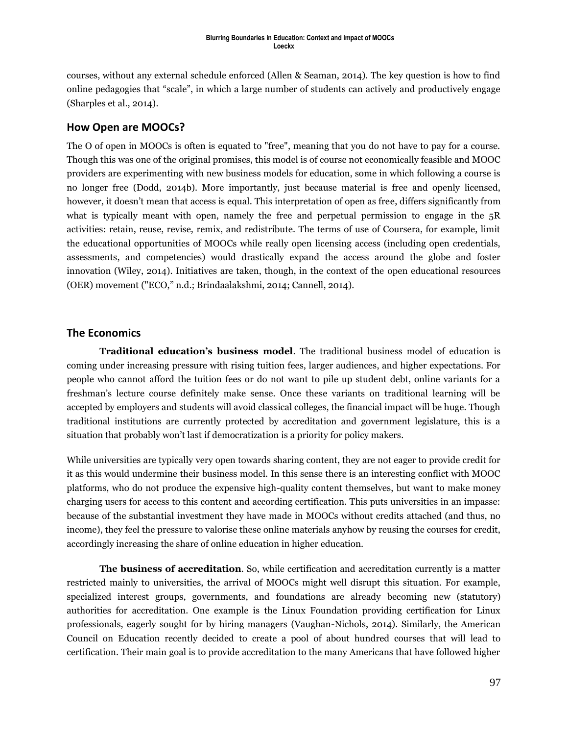courses, without any external schedule enforced (Allen & Seaman, 2014). The key question is how to find online pedagogies that "scale", in which a large number of students can actively and productively engage (Sharples et al., 2014).

#### **How Open are MOOCs?**

The O of open in MOOCs is often is equated to "free", meaning that you do not have to pay for a course. Though this was one of the original promises, this model is of course not economically feasible and MOOC providers are experimenting with new business models for education, some in which following a course is no longer free (Dodd, 2014b). More importantly, just because material is free and openly licensed, however, it doesn't mean that access is equal. This interpretation of open as free, differs significantly from what is typically meant with open, namely the free and perpetual permission to engage in the 5R activities: retain, reuse, revise, remix, and redistribute. The terms of use of Coursera, for example, limit the educational opportunities of MOOCs while really open licensing access (including open credentials, assessments, and competencies) would drastically expand the access around the globe and foster innovation (Wiley, 2014). Initiatives are taken, though, in the context of the open educational resources (OER) movement ("ECO," n.d.; Brindaalakshmi, 2014; Cannell, 2014).

#### **The Economics**

**Traditional education's business model**. The traditional business model of education is coming under increasing pressure with rising tuition fees, larger audiences, and higher expectations. For people who cannot afford the tuition fees or do not want to pile up student debt, online variants for a freshman's lecture course definitely make sense. Once these variants on traditional learning will be accepted by employers and students will avoid classical colleges, the financial impact will be huge. Though traditional institutions are currently protected by accreditation and government legislature, this is a situation that probably won't last if democratization is a priority for policy makers.

While universities are typically very open towards sharing content, they are not eager to provide credit for it as this would undermine their business model. In this sense there is an interesting conflict with MOOC platforms, who do not produce the expensive high-quality content themselves, but want to make money charging users for access to this content and according certification. This puts universities in an impasse: because of the substantial investment they have made in MOOCs without credits attached (and thus, no income), they feel the pressure to valorise these online materials anyhow by reusing the courses for credit, accordingly increasing the share of online education in higher education.

**The business of accreditation**. So, while certification and accreditation currently is a matter restricted mainly to universities, the arrival of MOOCs might well disrupt this situation. For example, specialized interest groups, governments, and foundations are already becoming new (statutory) authorities for accreditation. One example is the Linux Foundation providing certification for Linux professionals, eagerly sought for by hiring managers (Vaughan-Nichols, 2014). Similarly, the American Council on Education recently decided to create a pool of about hundred courses that will lead to certification. Their main goal is to provide accreditation to the many Americans that have followed higher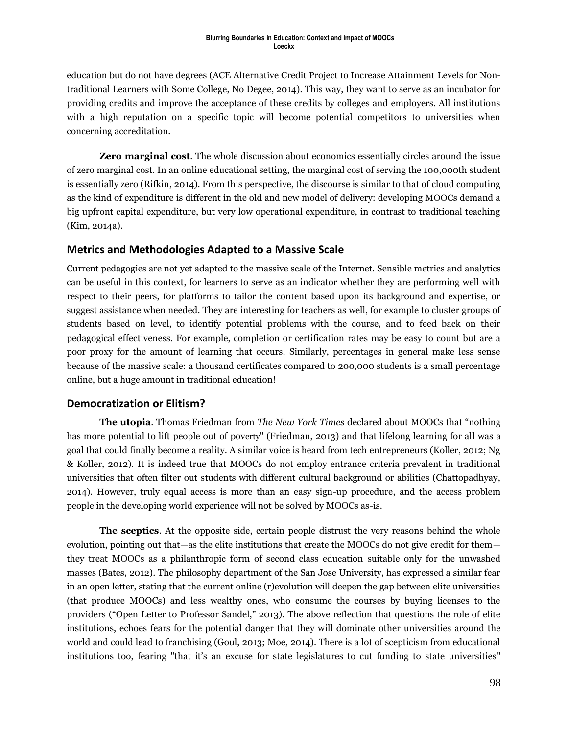education but do not have degrees (ACE Alternative Credit Project to Increase Attainment Levels for Nontraditional Learners with Some College, No Degee, 2014). This way, they want to serve as an incubator for providing credits and improve the acceptance of these credits by colleges and employers. All institutions with a high reputation on a specific topic will become potential competitors to universities when concerning accreditation.

**Zero marginal cost**. The whole discussion about economics essentially circles around the issue of zero marginal cost. In an online educational setting, the marginal cost of serving the 100,000th student is essentially zero (Rifkin, 2014). From this perspective, the discourse is similar to that of cloud computing as the kind of expenditure is different in the old and new model of delivery: developing MOOCs demand a big upfront capital expenditure, but very low operational expenditure, in contrast to traditional teaching (Kim, 2014a).

#### **Metrics and Methodologies Adapted to a Massive Scale**

Current pedagogies are not yet adapted to the massive scale of the Internet. Sensible metrics and analytics can be useful in this context, for learners to serve as an indicator whether they are performing well with respect to their peers, for platforms to tailor the content based upon its background and expertise, or suggest assistance when needed. They are interesting for teachers as well, for example to cluster groups of students based on level, to identify potential problems with the course, and to feed back on their pedagogical effectiveness. For example, completion or certification rates may be easy to count but are a poor proxy for the amount of learning that occurs. Similarly, percentages in general make less sense because of the massive scale: a thousand certificates compared to 200,000 students is a small percentage online, but a huge amount in traditional education!

#### **Democratization or Elitism?**

**The utopia**. Thomas Friedman from *The New York Times* declared about MOOCs that "nothing has more potential to lift people out of poverty" (Friedman, 2013) and that lifelong learning for all was a goal that could finally become a reality. A similar voice is heard from tech entrepreneurs (Koller, 2012; Ng & Koller, 2012). It is indeed true that MOOCs do not employ entrance criteria prevalent in traditional universities that often filter out students with different cultural background or abilities (Chattopadhyay, 2014). However, truly equal access is more than an easy sign-up procedure, and the access problem people in the developing world experience will not be solved by MOOCs as-is.

**The sceptics**. At the opposite side, certain people distrust the very reasons behind the whole evolution, pointing out that—as the elite institutions that create the MOOCs do not give credit for them they treat MOOCs as a philanthropic form of second class education suitable only for the unwashed masses (Bates, 2012). The philosophy department of the San Jose University, has expressed a similar fear in an open letter, stating that the current online (r)evolution will deepen the gap between elite universities (that produce MOOCs) and less wealthy ones, who consume the courses by buying licenses to the providers ("Open Letter to Professor Sandel," 2013). The above reflection that questions the role of elite institutions, echoes fears for the potential danger that they will dominate other universities around the world and could lead to franchising (Goul, 2013; Moe, 2014). There is a lot of scepticism from educational institutions too, fearing "that it's an excuse for state legislatures to cut funding to state universities"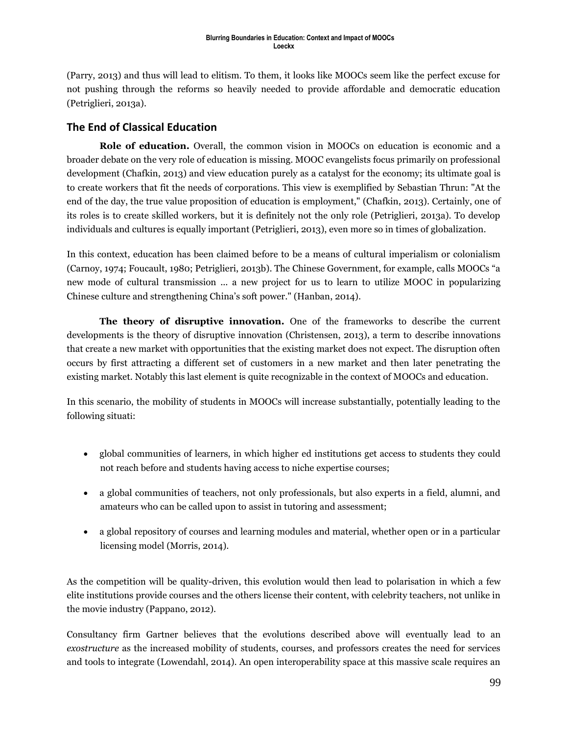(Parry, 2013) and thus will lead to elitism. To them, it looks like MOOCs seem like the perfect excuse for not pushing through the reforms so heavily needed to provide affordable and democratic education (Petriglieri, 2013a).

#### **The End of Classical Education**

**Role of education.** Overall, the common vision in MOOCs on education is economic and a broader debate on the very role of education is missing. MOOC evangelists focus primarily on professional development (Chafkin, 2013) and view education purely as a catalyst for the economy; its ultimate goal is to create workers that fit the needs of corporations. This view is exemplified by Sebastian Thrun: "At the end of the day, the true value proposition of education is employment," (Chafkin, 2013). Certainly, one of its roles is to create skilled workers, but it is definitely not the only role (Petriglieri, 2013a). To develop individuals and cultures is equally important (Petriglieri, 2013), even more so in times of globalization.

In this context, education has been claimed before to be a means of cultural imperialism or colonialism (Carnoy, 1974; Foucault, 1980; Petriglieri, 2013b). The Chinese Government, for example, calls MOOCs "a new mode of cultural transmission ... a new project for us to learn to utilize MOOC in popularizing Chinese culture and strengthening China's soft power." (Hanban, 2014).

**The theory of disruptive innovation.** One of the frameworks to describe the current developments is the theory of disruptive innovation (Christensen, 2013), a term to describe innovations that create a new market with opportunities that the existing market does not expect. The disruption often occurs by first attracting a different set of customers in a new market and then later penetrating the existing market. Notably this last element is quite recognizable in the context of MOOCs and education.

In this scenario, the mobility of students in MOOCs will increase substantially, potentially leading to the following situati:

- global communities of learners, in which higher ed institutions get access to students they could not reach before and students having access to niche expertise courses;
- a global communities of teachers, not only professionals, but also experts in a field, alumni, and amateurs who can be called upon to assist in tutoring and assessment;
- a global repository of courses and learning modules and material, whether open or in a particular licensing model (Morris, 2014).

As the competition will be quality-driven, this evolution would then lead to polarisation in which a few elite institutions provide courses and the others license their content, with celebrity teachers, not unlike in the movie industry (Pappano, 2012).

Consultancy firm Gartner believes that the evolutions described above will eventually lead to an *exostructure* as the increased mobility of students, courses, and professors creates the need for services and tools to integrate (Lowendahl, 2014). An open interoperability space at this massive scale requires an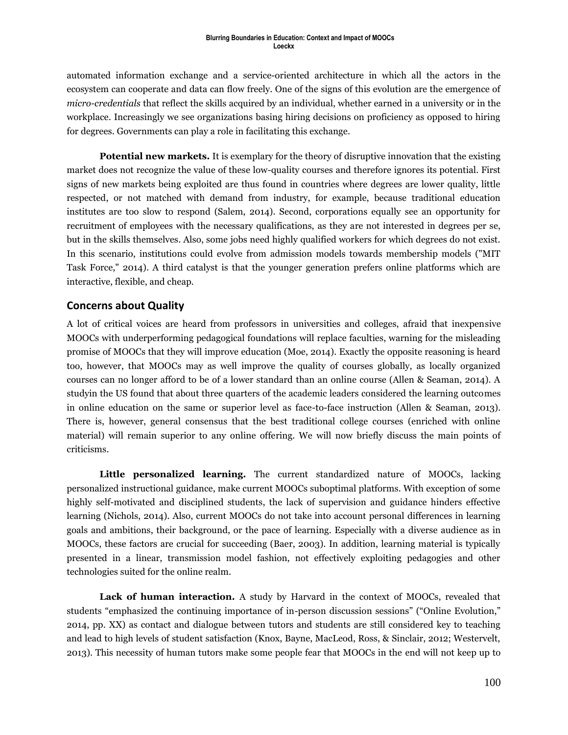automated information exchange and a service-oriented architecture in which all the actors in the ecosystem can cooperate and data can flow freely. One of the signs of this evolution are the emergence of *micro-credentials* that reflect the skills acquired by an individual, whether earned in a university or in the workplace. Increasingly we see organizations basing hiring decisions on proficiency as opposed to hiring for degrees. Governments can play a role in facilitating this exchange.

**Potential new markets.** It is exemplary for the theory of disruptive innovation that the existing market does not recognize the value of these low-quality courses and therefore ignores its potential. First signs of new markets being exploited are thus found in countries where degrees are lower quality, little respected, or not matched with demand from industry, for example, because traditional education institutes are too slow to respond (Salem, 2014). Second, corporations equally see an opportunity for recruitment of employees with the necessary qualifications, as they are not interested in degrees per se, but in the skills themselves. Also, some jobs need highly qualified workers for which degrees do not exist. In this scenario, institutions could evolve from admission models towards membership models ("MIT Task Force," 2014). A third catalyst is that the younger generation prefers online platforms which are interactive, flexible, and cheap.

#### **Concerns about Quality**

A lot of critical voices are heard from professors in universities and colleges, afraid that inexpensive MOOCs with underperforming pedagogical foundations will replace faculties, warning for the misleading promise of MOOCs that they will improve education (Moe, 2014). Exactly the opposite reasoning is heard too, however, that MOOCs may as well improve the quality of courses globally, as locally organized courses can no longer afford to be of a lower standard than an online course (Allen & Seaman, 2014). A studyin the US found that about three quarters of the academic leaders considered the learning outcomes in online education on the same or superior level as face-to-face instruction (Allen & Seaman, 2013). There is, however, general consensus that the best traditional college courses (enriched with online material) will remain superior to any online offering. We will now briefly discuss the main points of criticisms.

**Little personalized learning.** The current standardized nature of MOOCs, lacking personalized instructional guidance, make current MOOCs suboptimal platforms. With exception of some highly self-motivated and disciplined students, the lack of supervision and guidance hinders effective learning (Nichols, 2014). Also, current MOOCs do not take into account personal differences in learning goals and ambitions, their background, or the pace of learning. Especially with a diverse audience as in MOOCs, these factors are crucial for succeeding (Baer, 2003). In addition, learning material is typically presented in a linear, transmission model fashion, not effectively exploiting pedagogies and other technologies suited for the online realm.

Lack of human interaction. A study by Harvard in the context of MOOCs, revealed that students "emphasized the continuing importance of in-person discussion sessions" ("Online Evolution," 2014, pp. XX) as contact and dialogue between tutors and students are still considered key to teaching and lead to high levels of student satisfaction (Knox, Bayne, MacLeod, Ross, & Sinclair, 2012; Westervelt, 2013). This necessity of human tutors make some people fear that MOOCs in the end will not keep up to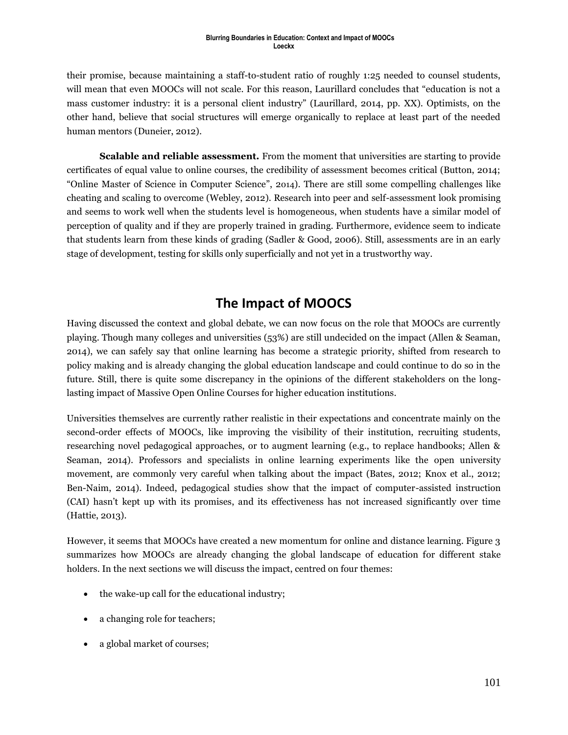their promise, because maintaining a staff-to-student ratio of roughly 1:25 needed to counsel students, will mean that even MOOCs will not scale. For this reason, Laurillard concludes that "education is not a mass customer industry: it is a personal client industry" (Laurillard, 2014, pp. XX). Optimists, on the other hand, believe that social structures will emerge organically to replace at least part of the needed human mentors (Duneier, 2012).

**Scalable and reliable assessment.** From the moment that universities are starting to provide certificates of equal value to online courses, the credibility of assessment becomes critical (Button, 2014; "Online Master of Science in Computer Science", 2014). There are still some compelling challenges like cheating and scaling to overcome (Webley, 2012). Research into peer and self-assessment look promising and seems to work well when the students level is homogeneous, when students have a similar model of perception of quality and if they are properly trained in grading. Furthermore, evidence seem to indicate that students learn from these kinds of grading (Sadler & Good, 2006). Still, assessments are in an early stage of development, testing for skills only superficially and not yet in a trustworthy way.

## **The Impact of MOOCS**

Having discussed the context and global debate, we can now focus on the role that MOOCs are currently playing. Though many colleges and universities (53%) are still undecided on the impact (Allen & Seaman, 2014), we can safely say that online learning has become a strategic priority, shifted from research to policy making and is already changing the global education landscape and could continue to do so in the future. Still, there is quite some discrepancy in the opinions of the different stakeholders on the longlasting impact of Massive Open Online Courses for higher education institutions.

Universities themselves are currently rather realistic in their expectations and concentrate mainly on the second-order effects of MOOCs, like improving the visibility of their institution, recruiting students, researching novel pedagogical approaches, or to augment learning (e.g., to replace handbooks; Allen & Seaman, 2014). Professors and specialists in online learning experiments like the open university movement, are commonly very careful when talking about the impact (Bates, 2012; Knox et al., 2012; Ben-Naim, 2014). Indeed, pedagogical studies show that the impact of computer-assisted instruction (CAI) hasn't kept up with its promises, and its effectiveness has not increased significantly over time (Hattie, 2013).

However, it seems that MOOCs have created a new momentum for online and distance learning. Figure 3 summarizes how MOOCs are already changing the global landscape of education for different stake holders. In the next sections we will discuss the impact, centred on four themes:

- the wake-up call for the educational industry;
- a changing role for teachers;
- a global market of courses;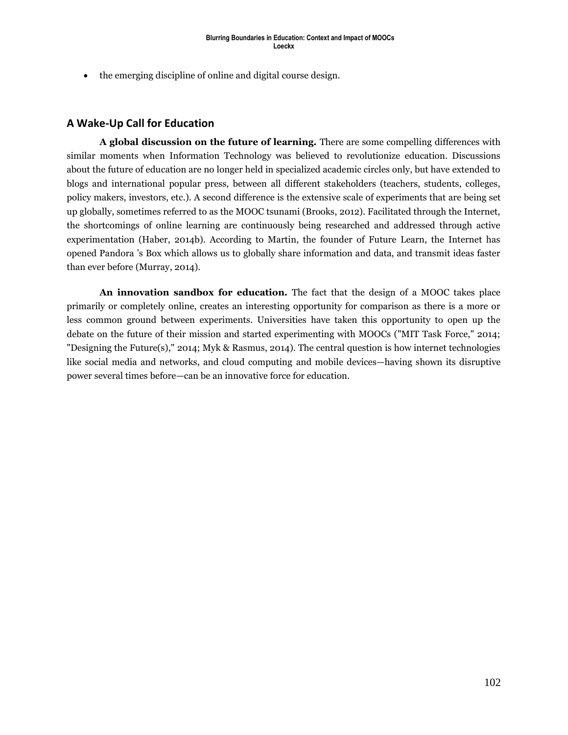the emerging discipline of online and digital course design.

#### **A Wake-Up Call for Education**

**A global discussion on the future of learning.** There are some compelling differences with similar moments when Information Technology was believed to revolutionize education. Discussions about the future of education are no longer held in specialized academic circles only, but have extended to blogs and international popular press, between all different stakeholders (teachers, students, colleges, policy makers, investors, etc.). A second difference is the extensive scale of experiments that are being set up globally, sometimes referred to as the MOOC tsunami (Brooks, 2012). Facilitated through the Internet, the shortcomings of online learning are continuously being researched and addressed through active experimentation (Haber, 2014b). According to Martin, the founder of Future Learn, the Internet has opened Pandora 's Box which allows us to globally share information and data, and transmit ideas faster than ever before (Murray, 2014).

**An innovation sandbox for education.** The fact that the design of a MOOC takes place primarily or completely online, creates an interesting opportunity for comparison as there is a more or less common ground between experiments. Universities have taken this opportunity to open up the debate on the future of their mission and started experimenting with MOOCs ("MIT Task Force," 2014; "Designing the Future(s)," 2014; Myk & Rasmus, 2014). The central question is how internet technologies like social media and networks, and cloud computing and mobile devices—having shown its disruptive power several times before—can be an innovative force for education.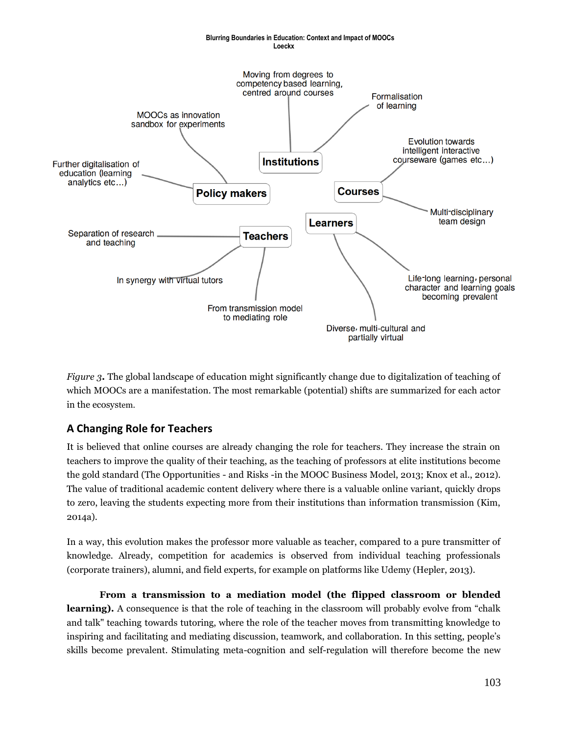

*Figure 3***.** The global landscape of education might significantly change due to digitalization of teaching of which MOOCs are a manifestation. The most remarkable (potential) shifts are summarized for each actor in the ecosystem.

### **A Changing Role for Teachers**

It is believed that online courses are already changing the role for teachers. They increase the strain on teachers to improve the quality of their teaching, as the teaching of professors at elite institutions become the gold standard (The Opportunities - and Risks -in the MOOC Business Model, 2013; Knox et al., 2012). The value of traditional academic content delivery where there is a valuable online variant, quickly drops to zero, leaving the students expecting more from their institutions than information transmission (Kim, 2014a).

In a way, this evolution makes the professor more valuable as teacher, compared to a pure transmitter of knowledge. Already, competition for academics is observed from individual teaching professionals (corporate trainers), alumni, and field experts, for example on platforms like Udemy (Hepler, 2013).

**From a transmission to a mediation model (the flipped classroom or blended learning).** A consequence is that the role of teaching in the classroom will probably evolve from "chalk" and talk" teaching towards tutoring, where the role of the teacher moves from transmitting knowledge to inspiring and facilitating and mediating discussion, teamwork, and collaboration. In this setting, people's skills become prevalent. Stimulating meta-cognition and self-regulation will therefore become the new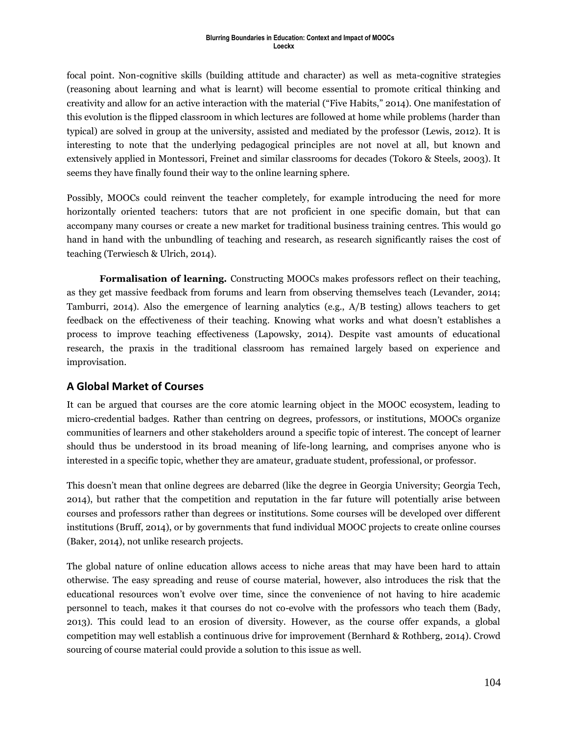focal point. Non-cognitive skills (building attitude and character) as well as meta-cognitive strategies (reasoning about learning and what is learnt) will become essential to promote critical thinking and creativity and allow for an active interaction with the material ("Five Habits," 2014). One manifestation of this evolution is the flipped classroom in which lectures are followed at home while problems (harder than typical) are solved in group at the university, assisted and mediated by the professor (Lewis, 2012). It is interesting to note that the underlying pedagogical principles are not novel at all, but known and extensively applied in Montessori, Freinet and similar classrooms for decades (Tokoro & Steels, 2003). It seems they have finally found their way to the online learning sphere.

Possibly, MOOCs could reinvent the teacher completely, for example introducing the need for more horizontally oriented teachers: tutors that are not proficient in one specific domain, but that can accompany many courses or create a new market for traditional business training centres. This would go hand in hand with the unbundling of teaching and research, as research significantly raises the cost of teaching (Terwiesch & Ulrich, 2014).

**Formalisation of learning.** Constructing MOOCs makes professors reflect on their teaching, as they get massive feedback from forums and learn from observing themselves teach (Levander, 2014; Tamburri, 2014). Also the emergence of learning analytics (e.g., A/B testing) allows teachers to get feedback on the effectiveness of their teaching. Knowing what works and what doesn't establishes a process to improve teaching effectiveness (Lapowsky, 2014). Despite vast amounts of educational research, the praxis in the traditional classroom has remained largely based on experience and improvisation.

#### **A Global Market of Courses**

It can be argued that courses are the core atomic learning object in the MOOC ecosystem, leading to micro-credential badges. Rather than centring on degrees, professors, or institutions, MOOCs organize communities of learners and other stakeholders around a specific topic of interest. The concept of learner should thus be understood in its broad meaning of life-long learning, and comprises anyone who is interested in a specific topic, whether they are amateur, graduate student, professional, or professor.

This doesn't mean that online degrees are debarred (like the degree in Georgia University; Georgia Tech, 2014), but rather that the competition and reputation in the far future will potentially arise between courses and professors rather than degrees or institutions. Some courses will be developed over different institutions (Bruff, 2014), or by governments that fund individual MOOC projects to create online courses (Baker, 2014), not unlike research projects.

The global nature of online education allows access to niche areas that may have been hard to attain otherwise. The easy spreading and reuse of course material, however, also introduces the risk that the educational resources won't evolve over time, since the convenience of not having to hire academic personnel to teach, makes it that courses do not co-evolve with the professors who teach them (Bady, 2013). This could lead to an erosion of diversity. However, as the course offer expands, a global competition may well establish a continuous drive for improvement (Bernhard & Rothberg, 2014). Crowd sourcing of course material could provide a solution to this issue as well.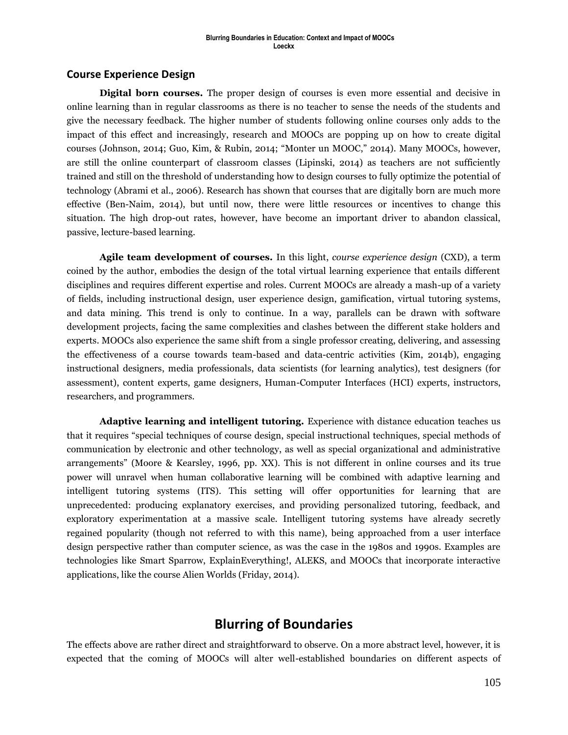#### **Course Experience Design**

**Digital born courses.** The proper design of courses is even more essential and decisive in online learning than in regular classrooms as there is no teacher to sense the needs of the students and give the necessary feedback. The higher number of students following online courses only adds to the impact of this effect and increasingly, research and MOOCs are popping up on how to create digital courses (Johnson, 2014; Guo, Kim, & Rubin, 2014; "Monter un MOOC," 2014). Many MOOCs, however, are still the online counterpart of classroom classes (Lipinski, 2014) as teachers are not sufficiently trained and still on the threshold of understanding how to design courses to fully optimize the potential of technology (Abrami et al., 2006). Research has shown that courses that are digitally born are much more effective (Ben-Naim, 2014), but until now, there were little resources or incentives to change this situation. The high drop-out rates, however, have become an important driver to abandon classical, passive, lecture-based learning.

**Agile team development of courses.** In this light, *course experience design* (CXD), a term coined by the author, embodies the design of the total virtual learning experience that entails different disciplines and requires different expertise and roles. Current MOOCs are already a mash-up of a variety of fields, including instructional design, user experience design, gamification, virtual tutoring systems, and data mining. This trend is only to continue. In a way, parallels can be drawn with software development projects, facing the same complexities and clashes between the different stake holders and experts. MOOCs also experience the same shift from a single professor creating, delivering, and assessing the effectiveness of a course towards team-based and data-centric activities (Kim, 2014b), engaging instructional designers, media professionals, data scientists (for learning analytics), test designers (for assessment), content experts, game designers, Human-Computer Interfaces (HCI) experts, instructors, researchers, and programmers.

**Adaptive learning and intelligent tutoring.** Experience with distance education teaches us that it requires "special techniques of course design, special instructional techniques, special methods of communication by electronic and other technology, as well as special organizational and administrative arrangements" (Moore & Kearsley, 1996, pp. XX). This is not different in online courses and its true power will unravel when human collaborative learning will be combined with adaptive learning and intelligent tutoring systems (ITS). This setting will offer opportunities for learning that are unprecedented: producing explanatory exercises, and providing personalized tutoring, feedback, and exploratory experimentation at a massive scale. Intelligent tutoring systems have already secretly regained popularity (though not referred to with this name), being approached from a user interface design perspective rather than computer science, as was the case in the 1980s and 1990s. Examples are technologies like Smart Sparrow, ExplainEverything!, ALEKS, and MOOCs that incorporate interactive applications, like the course Alien Worlds (Friday, 2014).

### **Blurring of Boundaries**

The effects above are rather direct and straightforward to observe. On a more abstract level, however, it is expected that the coming of MOOCs will alter well-established boundaries on different aspects of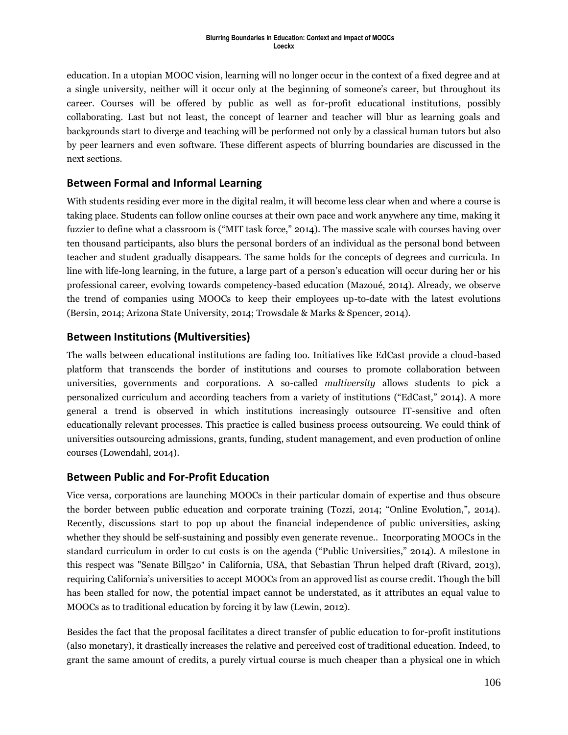education. In a utopian MOOC vision, learning will no longer occur in the context of a fixed degree and at a single university, neither will it occur only at the beginning of someone's career, but throughout its career. Courses will be offered by public as well as for-profit educational institutions, possibly collaborating. Last but not least, the concept of learner and teacher will blur as learning goals and backgrounds start to diverge and teaching will be performed not only by a classical human tutors but also by peer learners and even software. These different aspects of blurring boundaries are discussed in the next sections.

#### **Between Formal and Informal Learning**

With students residing ever more in the digital realm, it will become less clear when and where a course is taking place. Students can follow online courses at their own pace and work anywhere any time, making it fuzzier to define what a classroom is ("MIT task force," 2014). The massive scale with courses having over ten thousand participants, also blurs the personal borders of an individual as the personal bond between teacher and student gradually disappears. The same holds for the concepts of degrees and curricula. In line with life-long learning, in the future, a large part of a person's education will occur during her or his professional career, evolving towards competency-based education (Mazoué, 2014). Already, we observe the trend of companies using MOOCs to keep their employees up-to-date with the latest evolutions (Bersin, 2014; Arizona State University, 2014; Trowsdale & Marks & Spencer, 2014).

#### **Between Institutions (Multiversities)**

The walls between educational institutions are fading too. Initiatives like EdCast provide a cloud-based platform that transcends the border of institutions and courses to promote collaboration between universities, governments and corporations. A so-called *multiversity* allows students to pick a personalized curriculum and according teachers from a variety of institutions ("EdCast," 2014). A more general a trend is observed in which institutions increasingly outsource IT-sensitive and often educationally relevant processes. This practice is called business process outsourcing. We could think of universities outsourcing admissions, grants, funding, student management, and even production of online courses (Lowendahl, 2014).

#### **Between Public and For-Profit Education**

Vice versa, corporations are launching MOOCs in their particular domain of expertise and thus obscure the border between public education and corporate training (Tozzi, 2014; "Online Evolution,", 2014). Recently, discussions start to pop up about the financial independence of public universities, asking whether they should be self-sustaining and possibly even generate revenue.. Incorporating MOOCs in the standard curriculum in order to cut costs is on the agenda ("Public Universities," 2014). A milestone in this respect was "Senate Bill520" in California, USA, that Sebastian Thrun helped draft (Rivard, 2013), requiring California's universities to accept MOOCs from an approved list as course credit. Though the bill has been stalled for now, the potential impact cannot be understated, as it attributes an equal value to MOOCs as to traditional education by forcing it by law (Lewin, 2012).

Besides the fact that the proposal facilitates a direct transfer of public education to for-profit institutions (also monetary), it drastically increases the relative and perceived cost of traditional education. Indeed, to grant the same amount of credits, a purely virtual course is much cheaper than a physical one in which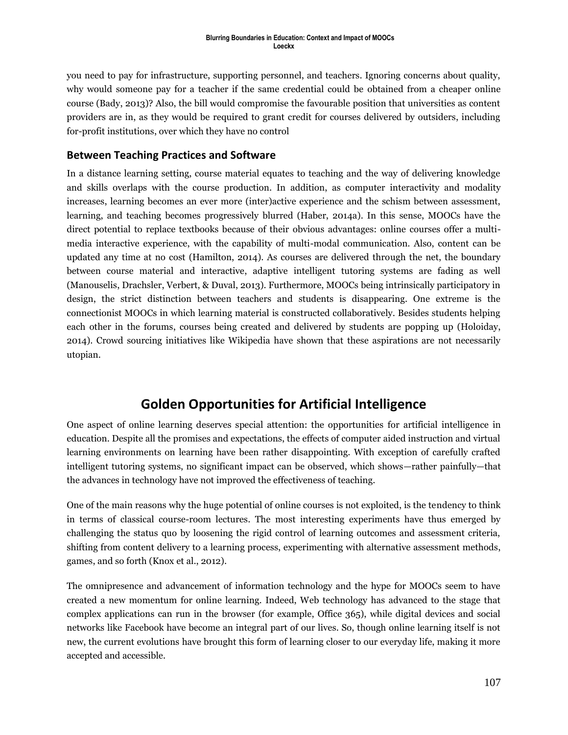you need to pay for infrastructure, supporting personnel, and teachers. Ignoring concerns about quality, why would someone pay for a teacher if the same credential could be obtained from a cheaper online course (Bady, 2013)? Also, the bill would compromise the favourable position that universities as content providers are in, as they would be required to grant credit for courses delivered by outsiders, including for-profit institutions, over which they have no control

#### **Between Teaching Practices and Software**

In a distance learning setting, course material equates to teaching and the way of delivering knowledge and skills overlaps with the course production. In addition, as computer interactivity and modality increases, learning becomes an ever more (inter)active experience and the schism between assessment, learning, and teaching becomes progressively blurred (Haber, 2014a). In this sense, MOOCs have the direct potential to replace textbooks because of their obvious advantages: online courses offer a multimedia interactive experience, with the capability of multi-modal communication. Also, content can be updated any time at no cost (Hamilton, 2014). As courses are delivered through the net, the boundary between course material and interactive, adaptive intelligent tutoring systems are fading as well (Manouselis, Drachsler, Verbert, & Duval, 2013). Furthermore, MOOCs being intrinsically participatory in design, the strict distinction between teachers and students is disappearing. One extreme is the connectionist MOOCs in which learning material is constructed collaboratively. Besides students helping each other in the forums, courses being created and delivered by students are popping up (Holoiday, 2014). Crowd sourcing initiatives like Wikipedia have shown that these aspirations are not necessarily utopian.

## **Golden Opportunities for Artificial Intelligence**

One aspect of online learning deserves special attention: the opportunities for artificial intelligence in education. Despite all the promises and expectations, the effects of computer aided instruction and virtual learning environments on learning have been rather disappointing. With exception of carefully crafted intelligent tutoring systems, no significant impact can be observed, which shows—rather painfully—that the advances in technology have not improved the effectiveness of teaching.

One of the main reasons why the huge potential of online courses is not exploited, is the tendency to think in terms of classical course-room lectures. The most interesting experiments have thus emerged by challenging the status quo by loosening the rigid control of learning outcomes and assessment criteria, shifting from content delivery to a learning process, experimenting with alternative assessment methods, games, and so forth (Knox et al., 2012).

The omnipresence and advancement of information technology and the hype for MOOCs seem to have created a new momentum for online learning. Indeed, Web technology has advanced to the stage that complex applications can run in the browser (for example, Office 365), while digital devices and social networks like Facebook have become an integral part of our lives. So, though online learning itself is not new, the current evolutions have brought this form of learning closer to our everyday life, making it more accepted and accessible.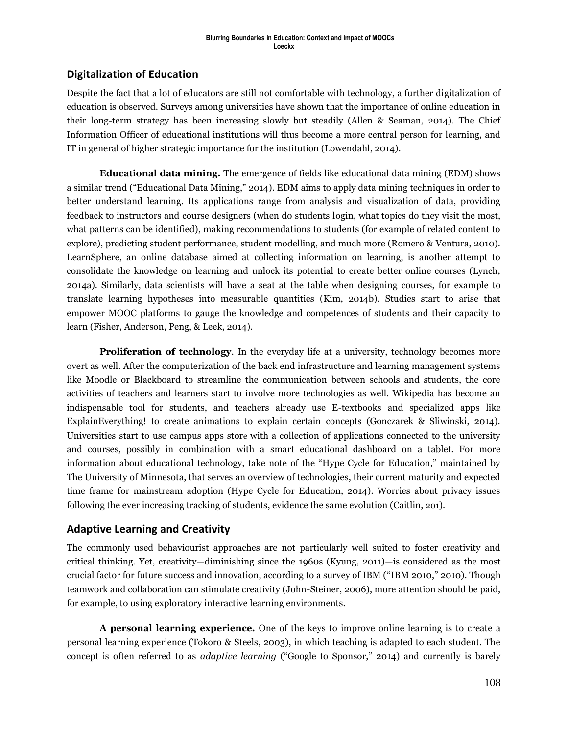#### **Digitalization of Education**

Despite the fact that a lot of educators are still not comfortable with technology, a further digitalization of education is observed. Surveys among universities have shown that the importance of online education in their long-term strategy has been increasing slowly but steadily (Allen & Seaman, 2014). The Chief Information Officer of educational institutions will thus become a more central person for learning, and IT in general of higher strategic importance for the institution (Lowendahl, 2014).

**Educational data mining.** The emergence of fields like educational data mining (EDM) shows a similar trend ("Educational Data Mining," 2014). EDM aims to apply data mining techniques in order to better understand learning. Its applications range from analysis and visualization of data, providing feedback to instructors and course designers (when do students login, what topics do they visit the most, what patterns can be identified), making recommendations to students (for example of related content to explore), predicting student performance, student modelling, and much more (Romero & Ventura, 2010). LearnSphere, an online database aimed at collecting information on learning, is another attempt to consolidate the knowledge on learning and unlock its potential to create better online courses (Lynch, 2014a). Similarly, data scientists will have a seat at the table when designing courses, for example to translate learning hypotheses into measurable quantities (Kim, 2014b). Studies start to arise that empower MOOC platforms to gauge the knowledge and competences of students and their capacity to learn (Fisher, Anderson, Peng, & Leek, 2014).

**Proliferation of technology**. In the everyday life at a university, technology becomes more overt as well. After the computerization of the back end infrastructure and learning management systems like Moodle or Blackboard to streamline the communication between schools and students, the core activities of teachers and learners start to involve more technologies as well. Wikipedia has become an indispensable tool for students, and teachers already use E-textbooks and specialized apps like ExplainEverything! to create animations to explain certain concepts (Gonczarek & Sliwinski, 2014). Universities start to use campus apps store with a collection of applications connected to the university and courses, possibly in combination with a smart educational dashboard on a tablet. For more information about educational technology, take note of the "Hype Cycle for Education," maintained by The University of Minnesota, that serves an overview of technologies, their current maturity and expected time frame for mainstream adoption (Hype Cycle for Education, 2014). Worries about privacy issues following the ever increasing tracking of students, evidence the same evolution (Caitlin, 201).

#### **Adaptive Learning and Creativity**

The commonly used behaviourist approaches are not particularly well suited to foster creativity and critical thinking. Yet, creativity—diminishing since the 1960s (Kyung, 2011)—is considered as the most crucial factor for future success and innovation, according to a survey of IBM ("IBM 2010," 2010). Though teamwork and collaboration can stimulate creativity (John-Steiner, 2006), more attention should be paid, for example, to using exploratory interactive learning environments.

**A personal learning experience.** One of the keys to improve online learning is to create a personal learning experience (Tokoro & Steels, 2003), in which teaching is adapted to each student. The concept is often referred to as *adaptive learning* ("Google to Sponsor," 2014) and currently is barely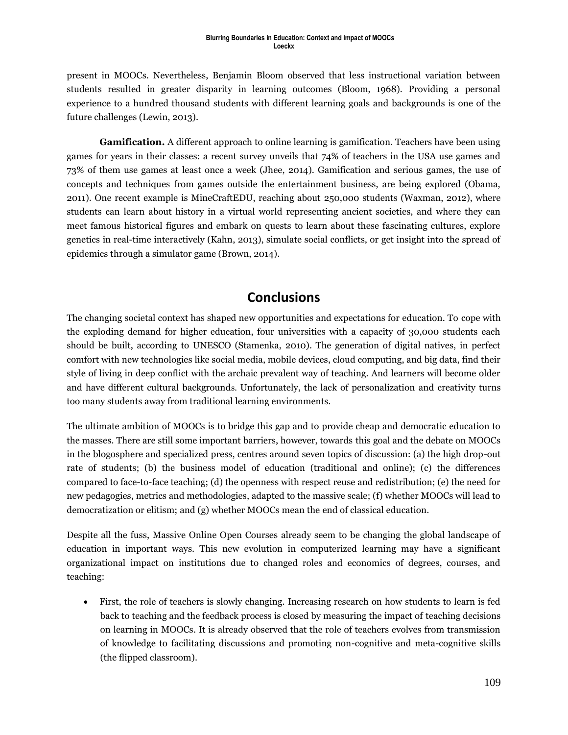present in MOOCs. Nevertheless, Benjamin Bloom observed that less instructional variation between students resulted in greater disparity in learning outcomes (Bloom, 1968). Providing a personal experience to a hundred thousand students with different learning goals and backgrounds is one of the future challenges (Lewin, 2013).

**Gamification.** A different approach to online learning is gamification. Teachers have been using games for years in their classes: a recent survey unveils that 74% of teachers in the USA use games and 73% of them use games at least once a week (Jhee, 2014). Gamification and serious games, the use of concepts and techniques from games outside the entertainment business, are being explored (Obama, 2011). One recent example is MineCraftEDU, reaching about 250,000 students (Waxman, 2012), where students can learn about history in a virtual world representing ancient societies, and where they can meet famous historical figures and embark on quests to learn about these fascinating cultures, explore genetics in real-time interactively (Kahn, 2013), simulate social conflicts, or get insight into the spread of epidemics through a simulator game (Brown, 2014).

## **Conclusions**

The changing societal context has shaped new opportunities and expectations for education. To cope with the exploding demand for higher education, four universities with a capacity of 30,000 students each should be built, according to UNESCO (Stamenka, 2010). The generation of digital natives, in perfect comfort with new technologies like social media, mobile devices, cloud computing, and big data, find their style of living in deep conflict with the archaic prevalent way of teaching. And learners will become older and have different cultural backgrounds. Unfortunately, the lack of personalization and creativity turns too many students away from traditional learning environments.

The ultimate ambition of MOOCs is to bridge this gap and to provide cheap and democratic education to the masses. There are still some important barriers, however, towards this goal and the debate on MOOCs in the blogosphere and specialized press, centres around seven topics of discussion: (a) the high drop-out rate of students; (b) the business model of education (traditional and online); (c) the differences compared to face-to-face teaching; (d) the openness with respect reuse and redistribution; (e) the need for new pedagogies, metrics and methodologies, adapted to the massive scale; (f) whether MOOCs will lead to democratization or elitism; and (g) whether MOOCs mean the end of classical education.

Despite all the fuss, Massive Online Open Courses already seem to be changing the global landscape of education in important ways. This new evolution in computerized learning may have a significant organizational impact on institutions due to changed roles and economics of degrees, courses, and teaching:

 First, the role of teachers is slowly changing. Increasing research on how students to learn is fed back to teaching and the feedback process is closed by measuring the impact of teaching decisions on learning in MOOCs. It is already observed that the role of teachers evolves from transmission of knowledge to facilitating discussions and promoting non-cognitive and meta-cognitive skills (the flipped classroom).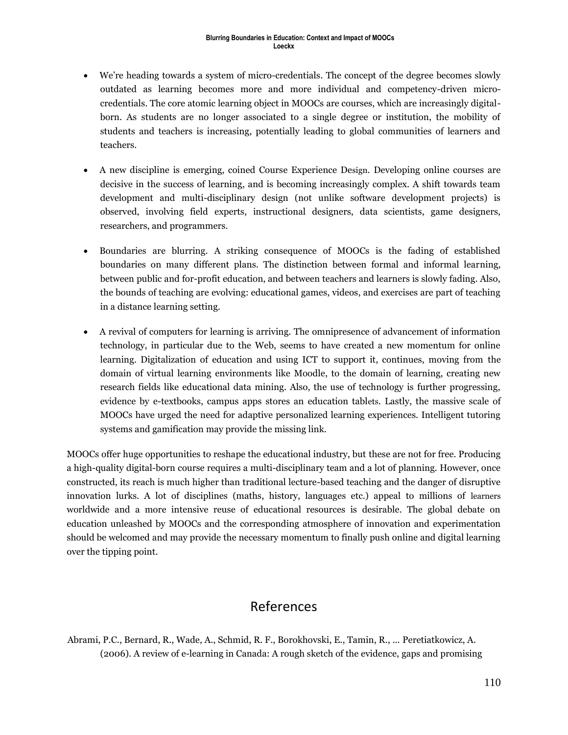- We're heading towards a system of micro-credentials. The concept of the degree becomes slowly outdated as learning becomes more and more individual and competency-driven microcredentials. The core atomic learning object in MOOCs are courses, which are increasingly digitalborn. As students are no longer associated to a single degree or institution, the mobility of students and teachers is increasing, potentially leading to global communities of learners and teachers.
- A new discipline is emerging, coined Course Experience Design. Developing online courses are decisive in the success of learning, and is becoming increasingly complex. A shift towards team development and multi-disciplinary design (not unlike software development projects) is observed, involving field experts, instructional designers, data scientists, game designers, researchers, and programmers.
- Boundaries are blurring. A striking consequence of MOOCs is the fading of established boundaries on many different plans. The distinction between formal and informal learning, between public and for-profit education, and between teachers and learners is slowly fading. Also, the bounds of teaching are evolving: educational games, videos, and exercises are part of teaching in a distance learning setting.
- A revival of computers for learning is arriving. The omnipresence of advancement of information technology, in particular due to the Web, seems to have created a new momentum for online learning. Digitalization of education and using ICT to support it, continues, moving from the domain of virtual learning environments like Moodle, to the domain of learning, creating new research fields like educational data mining. Also, the use of technology is further progressing, evidence by e-textbooks, campus apps stores an education tablets. Lastly, the massive scale of MOOCs have urged the need for adaptive personalized learning experiences. Intelligent tutoring systems and gamification may provide the missing link.

MOOCs offer huge opportunities to reshape the educational industry, but these are not for free. Producing a high-quality digital-born course requires a multi-disciplinary team and a lot of planning. However, once constructed, its reach is much higher than traditional lecture-based teaching and the danger of disruptive innovation lurks. A lot of disciplines (maths, history, languages etc.) appeal to millions of learners worldwide and a more intensive reuse of educational resources is desirable. The global debate on education unleashed by MOOCs and the corresponding atmosphere of innovation and experimentation should be welcomed and may provide the necessary momentum to finally push online and digital learning over the tipping point.

## References

Abrami, P.C., Bernard, R., Wade, A., Schmid, R. F., Borokhovski, E., Tamin, R., ... Peretiatkowicz, A. (2006). A review of e-learning in Canada: A rough sketch of the evidence, gaps and promising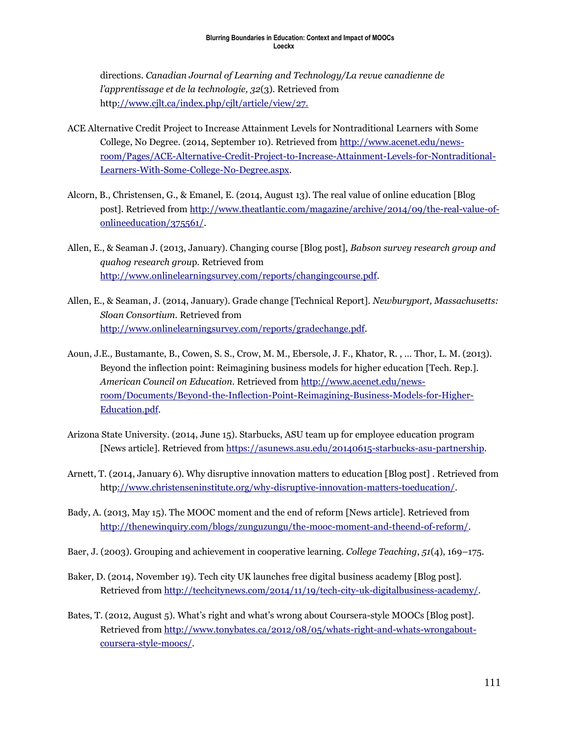directions. *Canadian Journal of Learning and Technology/La revue canadienne de l'apprentissage et de la technologie, 32*(3). Retrieved from http://www.cjlt.ca/index.php/cjlt/article/view/27.

- ACE Alternative Credit Project to Increase Attainment Levels for Nontraditional Learners with Some College, No Degree. (2014, September 10). Retrieved from http://www.acenet.edu/newsroom/Pages/ACE-Alternative-Credit-Project-to-Increase-Attainment-Levels-for-Nontraditional-Learners-With-Some-College-No-Degree.aspx.
- Alcorn, B., Christensen, G., & Emanel, E. (2014, August 13). The real value of online education [Blog post]. Retrieved from http://www.theatlantic.com/magazine/archive/2014/09/the-real-value-ofonlineeducation/375561/.
- Allen, E., & Seaman J. (2013, January). Changing course [Blog post], *Babson survey research group and quahog research grou*p*.* Retrieved from [http://www.onlinelearningsurvey.com/reports/changingcourse.pdf.](http://www.onlinelearningsurvey.com/reports/changingcourse.pdf)
- Allen, E., & Seaman, J. (2014, January). Grade change [Technical Report]. *Newburyport, Massachusetts: Sloan Consortium.* Retrieved from http://www.onlinelearningsurvey.com/reports/gradechange.pdf.
- Aoun, J.E., Bustamante, B., Cowen, S. S., Crow, M. M., Ebersole, J. F., Khator, R. , … Thor, L. M. (2013). Beyond the inflection point: Reimagining business models for higher education [Tech. Rep.]. *American Council on Education.* Retrieved from http://www.acenet.edu/newsroom/Documents/Beyond-the-Inflection-Point-Reimagining-Business-Models-for-Higher-Education.pdf.
- Arizona State University. (2014, June 15). Starbucks, ASU team up for employee education program [News article]. Retrieved from https://asunews.asu.edu/20140615-starbucks-asu-partnership.
- Arnett, T. (2014, January 6). Why disruptive innovation matters to education [Blog post] . Retrieved from http://www.christenseninstitute.org/why-disruptive-innovation-matters-toeducation/.
- Bady, A. (2013, May 15). The MOOC moment and the end of reform [News article]. Retrieved from http://thenewinquiry.com/blogs/zunguzungu/the-mooc-moment-and-theend-of-reform/.
- Baer, J. (2003). Grouping and achievement in cooperative learning. *College Teaching*, *51*(4), 169–175.
- Baker, D. (2014, November 19). Tech city UK launches free digital business academy [Blog post]. Retrieved from http://techcitynews.com/2014/11/19/tech-city-uk-digitalbusiness-academy/.
- Bates, T. (2012, August 5). What's right and what's wrong about Coursera-style MOOCs [Blog post]. Retrieved from http://www.tonybates.ca/2012/08/05/whats-right-and-whats-wrongaboutcoursera-style-moocs/.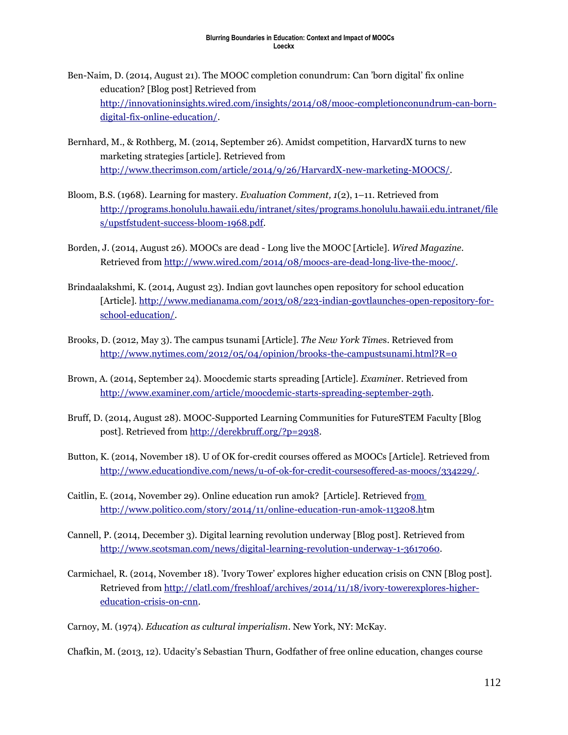- Ben-Naim, D. (2014, August 21). The MOOC completion conundrum: Can 'born digital' fix online education? [Blog post] Retrieved from http://innovationinsights.wired.com/insights/2014/08/mooc-completionconundrum-can-borndigital-fix-online-education/.
- Bernhard, M., & Rothberg, M. (2014, September 26). Amidst competition, HarvardX turns to new marketing strategies [article]. Retrieved from http://www.thecrimson.com/article/2014/9/26/HarvardX-new-marketing-MOOCS/.
- Bloom, B.S. (1968). Learning for mastery. *Evaluation Comment, 1*(2), 1–11. Retrieved from http://programs.honolulu.hawaii.edu/intranet/sites/programs.honolulu.hawaii.edu.intranet/file s/upstfstudent-success-bloom-1968.pdf.
- Borden, J. (2014, August 26). MOOCs are dead Long live the MOOC [Article]. *Wired Magazine*. Retrieved from http://www.wired.com/2014/08/moocs-are-dead-long-live-the-mooc/.
- Brindaalakshmi, K. (2014, August 23). Indian govt launches open repository for school education [Article]. http://www.medianama.com/2013/08/223-indian-govtlaunches-open-repository-forschool-education/.
- Brooks, D. (2012, May 3). The campus tsunami [Article]. *The New York Time*s. Retrieved from http://www.nytimes.com/2012/05/04/opinion/brooks-the-campustsunami.html?R=0
- Brown, A. (2014, September 24). Moocdemic starts spreading [Article]. *Examine*r*.* Retrieved from http://www.examiner.com/article/moocdemic-starts-spreading-september-29th.
- Bruff, D. (2014, August 28). MOOC-Supported Learning Communities for FutureSTEM Faculty [Blog post]. Retrieved from http://derekbruff.org/?p=2938.
- Button, K. (2014, November 18). U of OK for-credit courses offered as MOOCs [Article]. Retrieved from http://www.educationdive.com/news/u-of-ok-for-credit-coursesoffered-as-moocs/334229/.
- Caitlin, E. (2014, November 29). Online education run amok? [Article]. Retrieved from http://www.politico.com/story/2014/11/online-education-run-amok-113208.htm
- Cannell, P. (2014, December 3). Digital learning revolution underway [Blog post]. Retrieved from http://www.scotsman.com/news/digital-learning-revolution-underway-1-3617060.
- Carmichael, R. (2014, November 18). 'Ivory Tower' explores higher education crisis on CNN [Blog post]. Retrieved from http://clatl.com/freshloaf/archives/2014/11/18/ivory-towerexplores-highereducation-crisis-on-cnn.
- Carnoy, M. (1974). *Education as cultural imperialism.* New York, NY: McKay.
- Chafkin, M. (2013, 12). Udacity's Sebastian Thurn, Godfather of free online education, changes course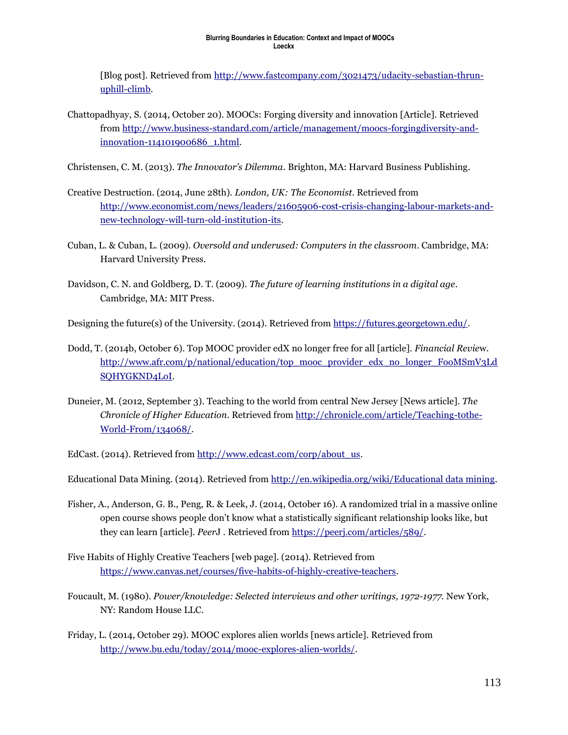[Blog post]. Retrieved from http://www.fastcompany.com/3021473/udacity-sebastian-thrunuphill-climb.

Chattopadhyay, S. (2014, October 20). MOOCs: Forging diversity and innovation [Article]. Retrieved from http://www.business-standard.com/article/management/moocs-forgingdiversity-andinnovation-114101900686\_1.html.

Christensen, C. M. (2013). *The Innovator's Dilemma*. Brighton, MA: Harvard Business Publishing.

- Creative Destruction. (2014, June 28th). *London, UK: The Economist*. Retrieved from [http://www.economist.com/news/leaders/21605906-cost-crisis-changing-labour-markets-and](http://www.economist.com/news/leaders/21605906-cost-crisis-changing-labour-markets-and-new-technology-will-turn-old-institution-its)[new-technology-will-turn-old-institution-its](http://www.economist.com/news/leaders/21605906-cost-crisis-changing-labour-markets-and-new-technology-will-turn-old-institution-its)*.*
- Cuban, L. & Cuban, L. (2009). *Oversold and underused: Computers in the classroom.* Cambridge, MA: Harvard University Press.
- Davidson, C. N. and Goldberg, D. T. (2009). *The future of learning institutions in a digital age*. Cambridge, MA: MIT Press*.*

Designing the future(s) of the University. (2014). Retrieved from https://futures.georgetown.edu/.

- Dodd, T. (2014b, October 6). Top MOOC provider edX no longer free for all [article]. *Financial Revie*w*.* http://www.afr.com/p/national/education/top\_mooc\_provider\_edx\_no\_longer\_FooMSmV3Ld SQHYGKND4LoI.
- Duneier, M. (2012, September 3). Teaching to the world from central New Jersey [News article]. *The Chronicle of Higher Education.* Retrieved from http://chronicle.com/article/Teaching-tothe-World-From/134068/.
- EdCast. (2014). Retrieved from http://www.edcast.com/corp/about\_us.

Educational Data Mining. (2014). Retrieved from [http://en.wikipedia.org/wiki/Educational data mining.](http://en.wikipedia.org/wiki/Educational%20data%20mining)

- Fisher, A., Anderson, G. B., Peng, R. & Leek, J. (2014, October 16). A randomized trial in a massive online open course shows people don't know what a statistically significant relationship looks like, but they can learn [article]. *Peer*J *.* Retrieved from https://peerj.com/articles/589/.
- Five Habits of Highly Creative Teachers [web page]. (2014). Retrieved from https://www.canvas.net/courses/five-habits-of-highly-creative-teachers.
- Foucault, M. (1980). *Power/knowledge: Selected interviews and other writings, 1972-1977.* New York, NY: Random House LLC.
- Friday, L. (2014, October 29). MOOC explores alien worlds [news article]. Retrieved from http://www.bu.edu/today/2014/mooc-explores-alien-worlds/.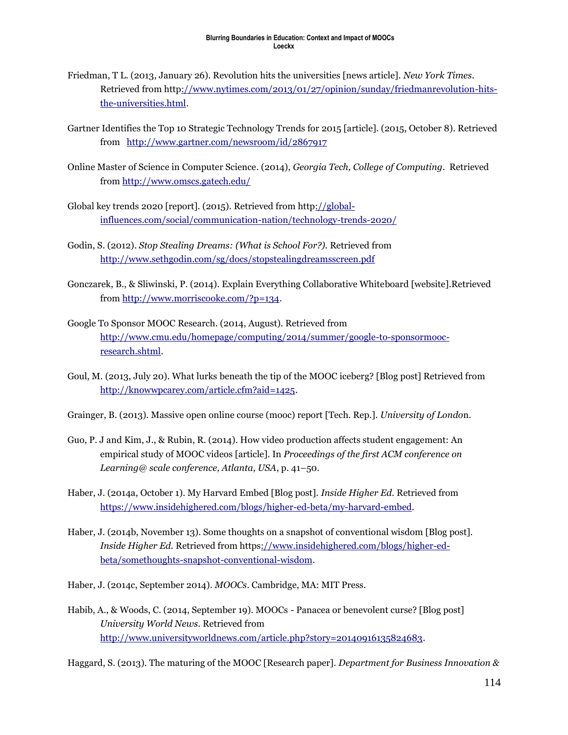- Friedman, T L. (2013, January 26). Revolution hits the universities [news article]. *New York Times.* Retrieved from http://www.nytimes.com/2013/01/27/opinion/sunday/friedmanrevolution-hitsthe-universities.html.
- Gartner Identifies the Top 10 Strategic Technology Trends for 2015 [article]. (2015, October 8). Retrieved from <http://www.gartner.com/newsroom/id/2867917>
- Online Master of Science in Computer Science. (2014), *Georgia Tech, College of Computing*. Retrieved from<http://www.omscs.gatech.edu/>
- Global key trends 2020 [report]. (2015). Retrieved from http://globalinfluences.com/social/communication-nation/technology-trends-2020/
- Godin, S. (2012). *Stop Stealing Dreams: (What is School For?).* Retrieved from <http://www.sethgodin.com/sg/docs/stopstealingdreamsscreen.pdf>
- Gonczarek, B., & Sliwinski, P. (2014). Explain Everything Collaborative Whiteboard [website].Retrieved from http://www.morriscooke.com/?p=134.
- Google To Sponsor MOOC Research. (2014, August). Retrieved from http://www.cmu.edu/homepage/computing/2014/summer/google-to-sponsormoocresearch.shtml.
- Goul, M. (2013, July 20). What lurks beneath the tip of the MOOC iceberg? [Blog post] Retrieved from http://knowwpcarey.com/article.cfm?aid=1425.
- Grainger, B. (2013). Massive open online course (mooc) report [Tech. Rep.]. *University of Londo*n*.*
- Guo, P. J and Kim, J., & Rubin, R. (2014). How video production affects student engagement: An empirical study of MOOC videos [article]. In *Proceedings of the first ACM conference on Learning@ scale conference, Atlanta, USA*, p. 41–50.
- Haber, J. (2014a, October 1). My Harvard Embed [Blog post]. *Inside Higher Ed.* Retrieved from https://www.insidehighered.com/blogs/higher-ed-beta/my-harvard-embed.
- Haber, J. (2014b, November 13). Some thoughts on a snapshot of conventional wisdom [Blog post]. *Inside Higher Ed.* Retrieved from https://www.insidehighered.com/blogs/higher-edbeta/somethoughts-snapshot-conventional-wisdom.
- Haber, J. (2014c, September 2014). *MOOCs*. Cambridge, MA: MIT Press.
- Habib, A., & Woods, C. (2014, September 19). MOOCs Panacea or benevolent curse? [Blog post] *University World News*. Retrieved from http://www.universityworldnews.com/article.php?story=20140916135824683.

Haggard, S. (2013). The maturing of the MOOC [Research paper]. *Department for Business Innovation &*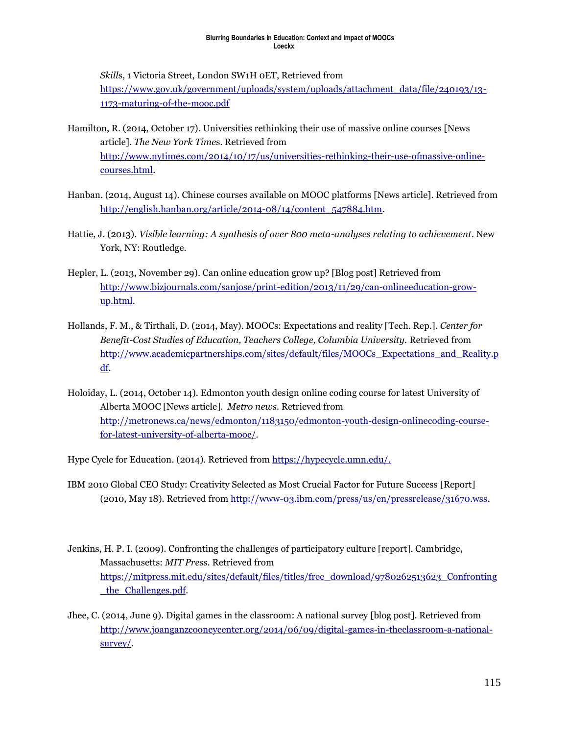*Skill*s, 1 Victoria Street, London SW1H 0ET, Retrieved from [https://www.gov.uk/government/uploads/system/uploads/attachment\\_data/file/240193/13-](https://www.gov.uk/government/uploads/system/uploads/attachment_data/file/240193/13-1173-maturing-of-the-mooc.pdf) [1173-maturing-of-the-mooc.pdf](https://www.gov.uk/government/uploads/system/uploads/attachment_data/file/240193/13-1173-maturing-of-the-mooc.pdf)

- Hamilton, R. (2014, October 17). Universities rethinking their use of massive online courses [News article]. *The New York Time*s*.* Retrieved from http://www.nytimes.com/2014/10/17/us/universities-rethinking-their-use-ofmassive-onlinecourses.html.
- Hanban. (2014, August 14). Chinese courses available on MOOC platforms [News article]. Retrieved from http://english.hanban.org/article/2014-08/14/content\_547884.htm.
- Hattie, J. (2013). *Visible learning: A synthesis of over 800 meta-analyses relating to achievement*. New York, NY: Routledge.
- Hepler, L. (2013, November 29). Can online education grow up? [Blog post] Retrieved from http://www.bizjournals.com/sanjose/print-edition/2013/11/29/can-onlineeducation-growup.html.
- Hollands, F. M., & Tirthali, D. (2014, May). MOOCs: Expectations and reality [Tech. Rep.]. *Center for Benefit-Cost Studies of Education, Teachers College, Columbia University.* Retrieved from http://www.academicpartnerships.com/sites/default/files/MOOCs\_Expectations\_and\_Reality.p df.
- Holoiday, L. (2014, October 14). Edmonton youth design online coding course for latest University of Alberta MOOC [News article]. *Metro news.* Retrieved from http://metronews.ca/news/edmonton/1183150/edmonton-youth-design-onlinecoding-coursefor-latest-university-of-alberta-mooc/.

Hype Cycle for Education. (2014). Retrieved fro[m https://hypecycle.umn.edu/.](https://hypecycle.umn.edu/)

- IBM 2010 Global CEO Study: Creativity Selected as Most Crucial Factor for Future Success [Report] (2010, May 18). Retrieved from [http://www-03.ibm.com/press/us/en/pressrelease/31670.wss.](http://www-03.ibm.com/press/us/en/pressrelease/31670.wss)
- Jenkins, H. P. I. (2009). Confronting the challenges of participatory culture [report]. Cambridge, Massachusetts: *MIT Press.* Retrieved from https://mitpress.mit.edu/sites/default/files/titles/free\_download/9780262513623\_Confronting \_the\_Challenges.pdf.
- Jhee, C. (2014, June 9). Digital games in the classroom: A national survey [blog post]. Retrieved from http://www.joanganzcooneycenter.org/2014/06/09/digital-games-in-theclassroom-a-nationalsurvey/.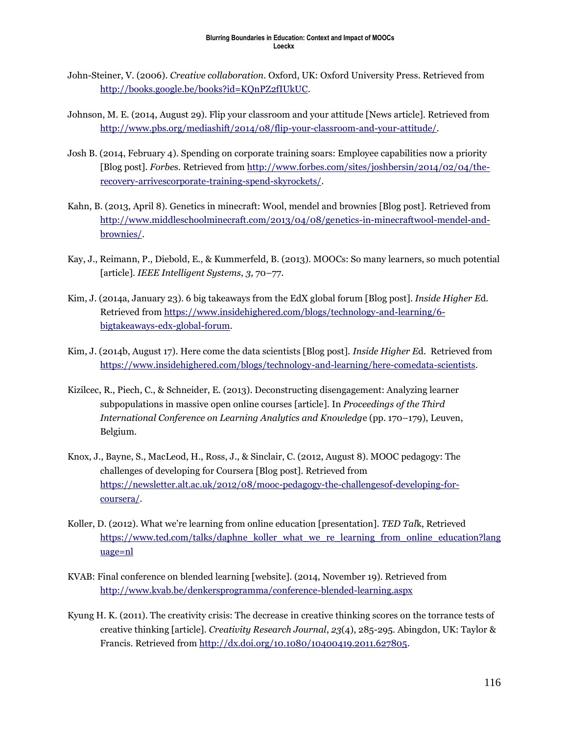- John-Steiner, V. (2006). *Creative collaboration.* Oxford, UK: Oxford University Press. Retrieved from http://books.google.be/books?id=KQnPZ2fIUkUC.
- Johnson, M. E. (2014, August 29). Flip your classroom and your attitude [News article]. Retrieved from http://www.pbs.org/mediashift/2014/08/flip-your-classroom-and-your-attitude/.
- Josh B. (2014, February 4). Spending on corporate training soars: Employee capabilities now a priority [Blog post]. *Forbe*s*.* Retrieved from http://www.forbes.com/sites/joshbersin/2014/02/04/therecovery-arrivescorporate-training-spend-skyrockets/.
- Kahn, B. (2013, April 8). Genetics in minecraft: Wool, mendel and brownies [Blog post]. Retrieved from http://www.middleschoolminecraft.com/2013/04/08/genetics-in-minecraftwool-mendel-andbrownies/.
- Kay, J., Reimann, P., Diebold, E., & Kummerfeld, B. (2013). MOOCs: So many learners, so much potential [article]. *IEEE Intelligent Systems*, *3,* 70–77.
- Kim, J. (2014a, January 23). 6 big takeaways from the EdX global forum [Blog post]. *Inside Higher E*d*.*  Retrieved from https://www.insidehighered.com/blogs/technology-and-learning/6 bigtakeaways-edx-global-forum.
- Kim, J. (2014b, August 17). Here come the data scientists [Blog post]. *Inside Higher E*d*.* Retrieved from https://www.insidehighered.com/blogs/technology-and-learning/here-comedata-scientists.
- Kizilcec, R., Piech, C., & Schneider, E. (2013). Deconstructing disengagement: Analyzing learner subpopulations in massive open online courses [article]. In *Proceedings of the Third International Conference on Learning Analytics and Knowledg*e (pp. 170–179), Leuven, Belgium.
- Knox, J., Bayne, S., MacLeod, H., Ross, J., & Sinclair, C. (2012, August 8). MOOC pedagogy: The challenges of developing for Coursera [Blog post]. Retrieved from https://newsletter.alt.ac.uk/2012/08/mooc-pedagogy-the-challengesof-developing-forcoursera/.
- Koller, D. (2012). What we're learning from online education [presentation]. *TED Tal*k, Retrieved https://www.ted.com/talks/daphne\_koller\_what\_we\_re\_learning\_from\_online\_education?lang uage=nl
- KVAB: Final conference on blended learning [website]. (2014, November 19). Retrieved from http://www.kvab.be/denkersprogramma/conference-blended-learning.aspx
- Kyung H. K. (2011). The creativity crisis: The decrease in creative thinking scores on the torrance tests of creative thinking [article]. *Creativity Research Journal*, *23*(4), 285-295. Abingdon, UK: Taylor & Francis. Retrieved from http://dx.doi.org/10.1080/10400419.2011.627805.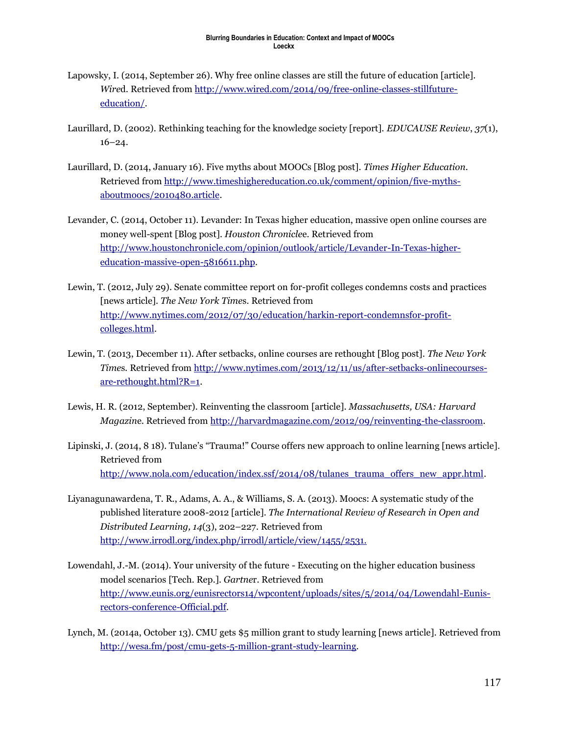- Lapowsky, I. (2014, September 26). Why free online classes are still the future of education [article]. *Wire*d*.* Retrieved from http://www.wired.com/2014/09/free-online-classes-stillfutureeducation/.
- Laurillard, D. (2002). Rethinking teaching for the knowledge society [report]. *EDUCAUSE Review*, *37*(1), 16–24.
- Laurillard, D. (2014, January 16). Five myths about MOOCs [Blog post]. *Times Higher Education.* Retrieved from http://www.timeshighereducation.co.uk/comment/opinion/five-mythsaboutmoocs/2010480.article.
- Levander, C. (2014, October 11). Levander: In Texas higher education, massive open online courses are money well-spent [Blog post]. *Houston Chronicle*e. Retrieved from http://www.houstonchronicle.com/opinion/outlook/article/Levander-In-Texas-highereducation-massive-open-5816611.php.
- Lewin, T. (2012, July 29). Senate committee report on for-profit colleges condemns costs and practices [news article]. *The New York Time*s. Retrieved from http://www.nytimes.com/2012/07/30/education/harkin-report-condemnsfor-profitcolleges.html.
- Lewin, T. (2013, December 11). After setbacks, online courses are rethought [Blog post]. *The New York Time*s*.* Retrieved from http://www.nytimes.com/2013/12/11/us/after-setbacks-onlinecoursesare-rethought.html?R=1.
- Lewis, H. R. (2012, September). Reinventing the classroom [article]. *Massachusetts, USA: Harvard Magazin*e*.* Retrieved from http://harvardmagazine.com/2012/09/reinventing-the-classroom.
- Lipinski, J. (2014, 8 18). Tulane's "Trauma!" Course offers new approach to online learning [news article]. Retrieved from http://www.nola.com/education/index.ssf/2014/08/tulanes\_trauma\_offers\_new\_appr.html.
- Liyanagunawardena, T. R., Adams, A. A., & Williams, S. A. (2013). Moocs: A systematic study of the published literature 2008-2012 [article]. *The International Review of Research in Open and Distributed Learning, 14*(3), 202–227. Retrieved from http://www.irrodl.org/index.php/irrodl/article/view/1455/2531.
- Lowendahl, J.-M. (2014). Your university of the future Executing on the higher education business model scenarios [Tech. Rep.]. *Gartne*r. Retrieved from http://www.eunis.org/eunisrectors14/wpcontent/uploads/sites/5/2014/04/Lowendahl-Eunisrectors-conference-Official.pdf.
- Lynch, M. (2014a, October 13). CMU gets \$5 million grant to study learning [news article]. Retrieved from http://wesa.fm/post/cmu-gets-5-million-grant-study-learning.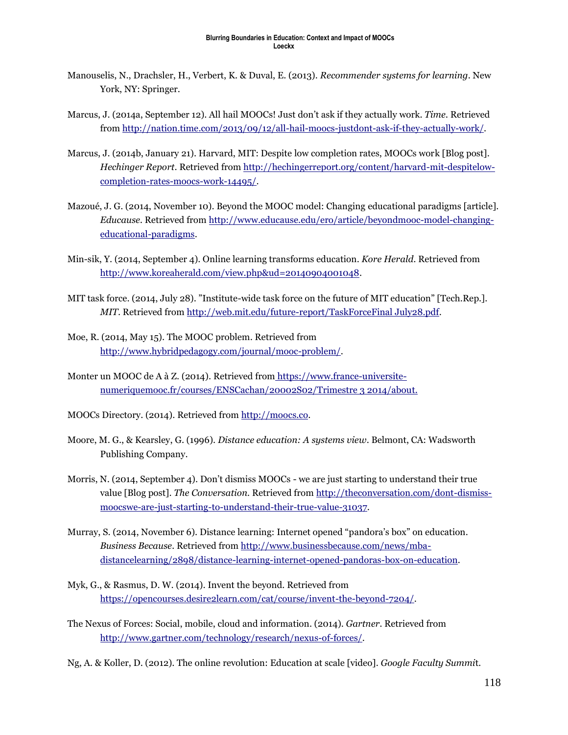- Manouselis, N., Drachsler, H., Verbert, K. & Duval, E. (2013). *Recommender systems for learning*. New York, NY: Springer.
- Marcus, J. (2014a, September 12). All hail MOOCs! Just don't ask if they actually work. *Time.* Retrieved from http://nation.time.com/2013/09/12/all-hail-moocs-justdont-ask-if-they-actually-work/.
- Marcus, J. (2014b, January 21). Harvard, MIT: Despite low completion rates, MOOCs work [Blog post]. *Hechinger Report*. Retrieved from http://hechingerreport.org/content/harvard-mit-despitelowcompletion-rates-moocs-work-14495/.
- Mazoué, J. G. (2014, November 10). Beyond the MOOC model: Changing educational paradigms [article]. *Educause.* Retrieved from http://www.educause.edu/ero/article/beyondmooc-model-changingeducational-paradigms.
- Min-sik, Y. (2014, September 4). Online learning transforms education. *Kore Herald.* Retrieved from http://www.koreaherald.com/view.php&ud=20140904001048.
- MIT task force. (2014, July 28). "Institute-wide task force on the future of MIT education" [Tech.Rep.]. *MIT*. Retrieved from [http://web.mit.edu/future-report/TaskForceFinal July28.pdf.](http://web.mit.edu/future-report/TaskForceFinal%20July28.pdf)
- Moe, R. (2014, May 15). The MOOC problem. Retrieved from http://www.hybridpedagogy.com/journal/mooc-problem/.
- Monter un MOOC de A à Z. (2014). Retrieved from [https://www.france-universite](https://www.france-universite-numeriquemooc.fr/courses/ENSCachan/20002S02/Trimestre%203%202014/about.)[numeriquemooc.fr/courses/ENSCachan/20002S02/Trimestre 3 2014/about.](https://www.france-universite-numeriquemooc.fr/courses/ENSCachan/20002S02/Trimestre%203%202014/about.)
- MOOCs Directory. (2014). Retrieved from http://moocs.co.
- Moore, M. G., & Kearsley, G. (1996). *Distance education: A systems view*. Belmont, CA: Wadsworth Publishing Company.
- Morris, N. (2014, September 4). Don't dismiss MOOCs we are just starting to understand their true value [Blog post]. *The Conversation.* Retrieved from http://theconversation.com/dont-dismissmoocswe-are-just-starting-to-understand-their-true-value-31037.
- Murray, S. (2014, November 6). Distance learning: Internet opened "pandora's box" on education. *Business Because.* Retrieved from http://www.businessbecause.com/news/mbadistancelearning/2898/distance-learning-internet-opened-pandoras-box-on-education.
- Myk, G., & Rasmus, D. W. (2014). Invent the beyond. Retrieved from https://opencourses.desire2learn.com/cat/course/invent-the-beyond-7204/.
- The Nexus of Forces: Social, mobile, cloud and information. (2014). *Gartner.* Retrieved from http://www.gartner.com/technology/research/nexus-of-forces/.

Ng, A. & Koller, D. (2012). The online revolution: Education at scale [video]. *Google Faculty Summi*t*.*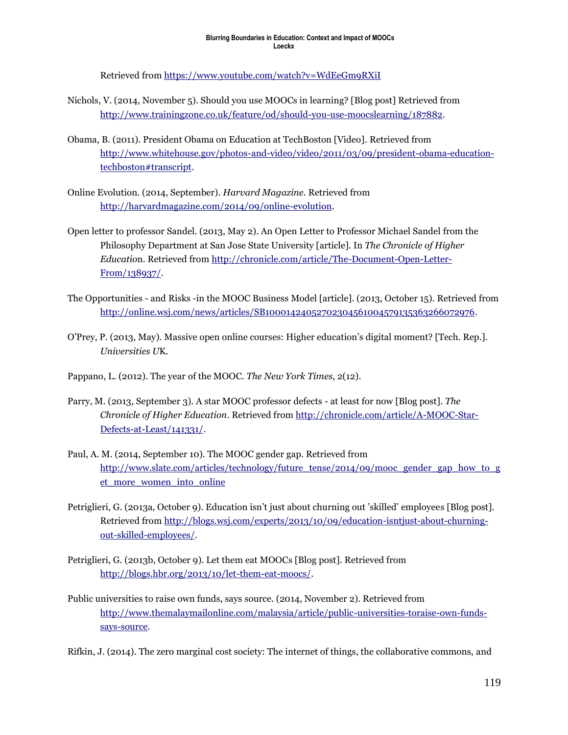Retrieved from<https://www.youtube.com/watch?v=WdEeGm9RXiI>

- Nichols, V. (2014, November 5). Should you use MOOCs in learning? [Blog post] Retrieved from http://www.trainingzone.co.uk/feature/od/should-you-use-moocslearning/187882.
- Obama, B. (2011). President Obama on Education at TechBoston [Video]. Retrieved from [http://www.whitehouse.gov/photos-and-video/video/2011/03/09/president-obama-education](http://www.whitehouse.gov/photos-and-video/video/2011/03/09/president-obama-education-techboston#transcript)[techboston#transcript.](http://www.whitehouse.gov/photos-and-video/video/2011/03/09/president-obama-education-techboston#transcript)
- Online Evolution. (2014, September). *Harvard Magazine.* Retrieved from [http://harvardmagazine.com/2014/09/online-evolution.](http://harvardmagazine.com/2014/09/online-evolution)
- Open letter to professor Sandel. (2013, May 2). An Open Letter to Professor Michael Sandel from the Philosophy Department at San Jose State University [article]. In *The Chronicle of Higher Educatio*n. Retrieved from http://chronicle.com/article/The-Document-Open-Letter-From/138937/.
- The Opportunities and Risks -in the MOOC Business Model [article]. (2013, October 15). Retrieved from http://online.wsj.com/news/articles/SB10001424052702304561004579135363266072976.
- O'Prey, P. (2013, May). Massive open online courses: Higher education's digital moment? [Tech. Rep.]. *Universities U*K*.*
- Pappano, L. (2012). The year of the MOOC. *The New York Times*, 2(12).
- Parry, M. (2013, September 3). A star MOOC professor defects at least for now [Blog post]. *The Chronicle of Higher Education*. Retrieved from http://chronicle.com/article/A-MOOC-Star-Defects-at-Least/141331/.
- Paul, A. M. (2014, September 10). The MOOC gender gap. Retrieved from [http://www.slate.com/articles/technology/future\\_tense/2014/09/mooc\\_gender\\_gap\\_how\\_to\\_g](http://www.slate.com/articles/technology/future_tense/2014/09/mooc_gender_gap_how_to_get_more_women_into_online) et more women into online
- Petriglieri, G. (2013a, October 9). Education isn't just about churning out 'skilled' employees [Blog post]. Retrieved from http://blogs.wsj.com/experts/2013/10/09/education-isntjust-about-churningout-skilled-employees/.
- Petriglieri, G. (2013b, October 9). Let them eat MOOCs [Blog post]. Retrieved from [http://blogs.hbr.org/2013/10/let-them-eat-moocs/.](http://blogs.hbr.org/2013/10/let-them-eat-moocs/)
- Public universities to raise own funds, says source. (2014, November 2). Retrieved from http://www.themalaymailonline.com/malaysia/article/public-universities-toraise-own-fundssays-source.

Rifkin, J. (2014). The zero marginal cost society: The internet of things, the collaborative commons, and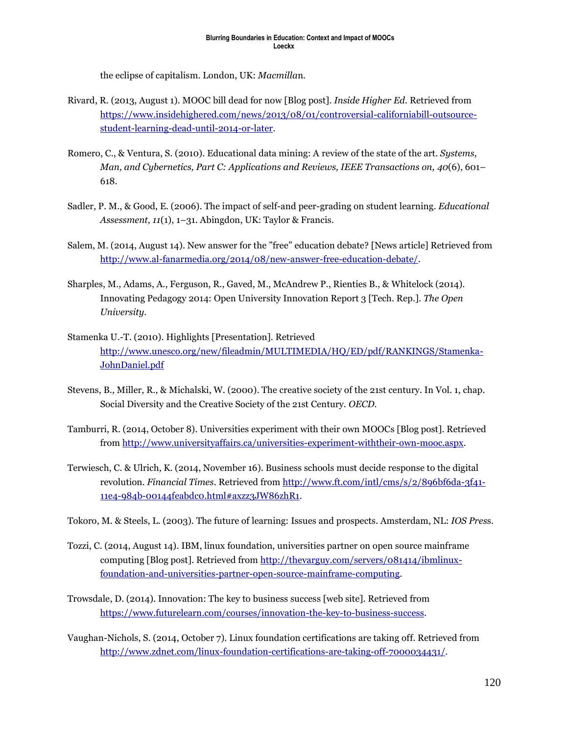the eclipse of capitalism. London, UK: *Macmilla*n.

- Rivard, R. (2013, August 1). MOOC bill dead for now [Blog post]. *Inside Higher Ed.* Retrieved from https://www.insidehighered.com/news/2013/08/01/controversial-californiabill-outsourcestudent-learning-dead-until-2014-or-later.
- Romero, C., & Ventura, S. (2010). Educational data mining: A review of the state of the art. *Systems, Man, and Cybernetics, Part C: Applications and Reviews, IEEE Transactions on, 40*(6), 601– 618.
- Sadler, P. M., & Good, E. (2006). The impact of self-and peer-grading on student learning. *Educational Assessment, 11*(1), 1–31. Abingdon, UK: Taylor & Francis.
- Salem, M. (2014, August 14). New answer for the "free" education debate? [News article] Retrieved from [http://www.al-fanarmedia.org/2014/08/new-answer-free-education-debate/.](http://www.al-fanarmedia.org/2014/08/new-answer-free-education-debate/)
- Sharples, M., Adams, A., Ferguson, R., Gaved, M., McAndrew P., Rienties B., & Whitelock (2014). Innovating Pedagogy 2014: Open University Innovation Report 3 [Tech. Rep.]. *The Open University.*
- Stamenka U.-T. (2010). Highlights [Presentation]. Retrieved http://www.unesco.org/new/fileadmin/MULTIMEDIA/HQ/ED/pdf/RANKINGS/Stamenka-JohnDaniel.pdf
- Stevens, B., Miller, R., & Michalski, W. (2000). The creative society of the 21st century. In Vol. 1, chap. Social Diversity and the Creative Society of the 21st Century. *OECD.*
- Tamburri, R. (2014, October 8). Universities experiment with their own MOOCs [Blog post]. Retrieved from http://www.universityaffairs.ca/universities-experiment-withtheir-own-mooc.aspx.
- Terwiesch, C. & Ulrich, K. (2014, November 16). Business schools must decide response to the digital revolution. *Financial Times*. Retrieved from http://www.ft.com/intl/cms/s/2/896bf6da-3f41- 11e4-984b-00144feabdc0.html#axzz3JW86zhR1.

Tokoro, M. & Steels, L. (2003). The future of learning: Issues and prospects. Amsterdam, NL: *IOS Pres*s*.*

- Tozzi, C. (2014, August 14). IBM, linux foundation, universities partner on open source mainframe computing [Blog post]. Retrieved from http://thevarguy.com/servers/081414/ibmlinuxfoundation-and-universities-partner-open-source-mainframe-computing.
- Trowsdale, D. (2014). Innovation: The key to business success [web site]. Retrieved from [https://www.futurelearn.com/courses/innovation-the-key-to-business-success.](https://www.futurelearn.com/courses/innovation-the-key-to-businesssuccess)
- Vaughan-Nichols, S. (2014, October 7). Linux foundation certifications are taking off. Retrieved from http://www.zdnet.com/linux-foundation-certifications-are-taking-off-7000034431/.